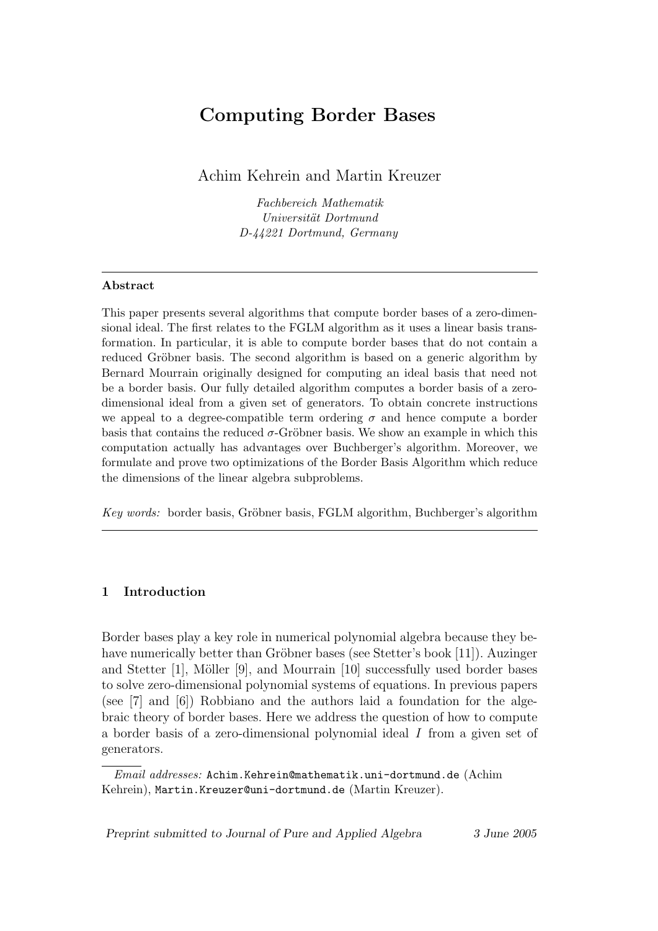# Computing Border Bases

Achim Kehrein and Martin Kreuzer

Fachbereich Mathematik Universität Dortmund D-44221 Dortmund, Germany

## Abstract

This paper presents several algorithms that compute border bases of a zero-dimensional ideal. The first relates to the FGLM algorithm as it uses a linear basis transformation. In particular, it is able to compute border bases that do not contain a reduced Gröbner basis. The second algorithm is based on a generic algorithm by Bernard Mourrain originally designed for computing an ideal basis that need not be a border basis. Our fully detailed algorithm computes a border basis of a zerodimensional ideal from a given set of generators. To obtain concrete instructions we appeal to a degree-compatible term ordering  $\sigma$  and hence compute a border basis that contains the reduced  $\sigma$ -Gröbner basis. We show an example in which this computation actually has advantages over Buchberger's algorithm. Moreover, we formulate and prove two optimizations of the Border Basis Algorithm which reduce the dimensions of the linear algebra subproblems.

Key words: border basis, Gröbner basis, FGLM algorithm, Buchberger's algorithm

# 1 Introduction

Border bases play a key role in numerical polynomial algebra because they behave numerically better than Gröbner bases (see Stetter's book [11]). Auzinger and Stetter  $[1]$ , Möller  $[9]$ , and Mourrain  $[10]$  successfully used border bases to solve zero-dimensional polynomial systems of equations. In previous papers (see [7] and [6]) Robbiano and the authors laid a foundation for the algebraic theory of border bases. Here we address the question of how to compute a border basis of a zero-dimensional polynomial ideal I from a given set of generators.

Preprint submitted to Journal of Pure and Applied Algebra 3 June 2005

Email addresses: Achim.Kehrein@mathematik.uni-dortmund.de (Achim Kehrein), Martin.Kreuzer@uni-dortmund.de (Martin Kreuzer).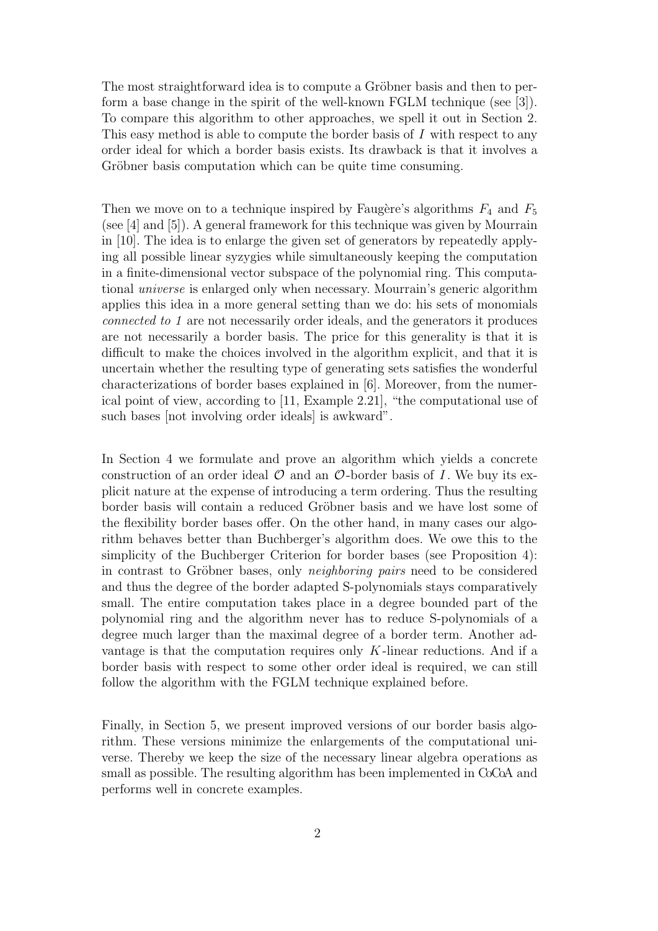The most straightforward idea is to compute a Gröbner basis and then to perform a base change in the spirit of the well-known FGLM technique (see [3]). To compare this algorithm to other approaches, we spell it out in Section 2. This easy method is able to compute the border basis of  $I$  with respect to any order ideal for which a border basis exists. Its drawback is that it involves a Gröbner basis computation which can be quite time consuming.

Then we move on to a technique inspired by Faugère's algorithms  $F_4$  and  $F_5$ (see [4] and [5]). A general framework for this technique was given by Mourrain in [10]. The idea is to enlarge the given set of generators by repeatedly applying all possible linear syzygies while simultaneously keeping the computation in a finite-dimensional vector subspace of the polynomial ring. This computational universe is enlarged only when necessary. Mourrain's generic algorithm applies this idea in a more general setting than we do: his sets of monomials connected to 1 are not necessarily order ideals, and the generators it produces are not necessarily a border basis. The price for this generality is that it is difficult to make the choices involved in the algorithm explicit, and that it is uncertain whether the resulting type of generating sets satisfies the wonderful characterizations of border bases explained in [6]. Moreover, from the numerical point of view, according to [11, Example 2.21], "the computational use of such bases [not involving order ideals] is awkward".

In Section 4 we formulate and prove an algorithm which yields a concrete construction of an order ideal  $\mathcal O$  and an  $\mathcal O$ -border basis of I. We buy its explicit nature at the expense of introducing a term ordering. Thus the resulting border basis will contain a reduced Gröbner basis and we have lost some of the flexibility border bases offer. On the other hand, in many cases our algorithm behaves better than Buchberger's algorithm does. We owe this to the simplicity of the Buchberger Criterion for border bases (see Proposition 4): in contrast to Gröbner bases, only *neighboring pairs* need to be considered and thus the degree of the border adapted S-polynomials stays comparatively small. The entire computation takes place in a degree bounded part of the polynomial ring and the algorithm never has to reduce S-polynomials of a degree much larger than the maximal degree of a border term. Another advantage is that the computation requires only  $K$ -linear reductions. And if a border basis with respect to some other order ideal is required, we can still follow the algorithm with the FGLM technique explained before.

Finally, in Section 5, we present improved versions of our border basis algorithm. These versions minimize the enlargements of the computational universe. Thereby we keep the size of the necessary linear algebra operations as small as possible. The resulting algorithm has been implemented in CoCoA and performs well in concrete examples.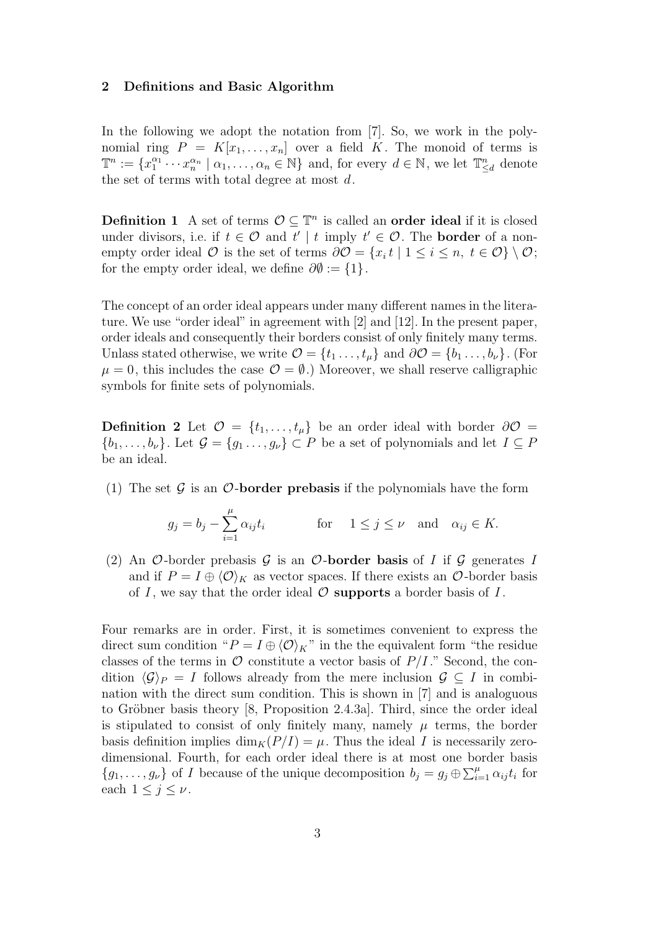#### 2 Definitions and Basic Algorithm

In the following we adopt the notation from [7]. So, we work in the polynomial ring  $P = K[x_1, \ldots, x_n]$  over a field K. The monoid of terms is  $\mathbb{T}^n := \{x_1^{\alpha_1} \cdots x_n^{\alpha_n} \mid \alpha_1, \ldots, \alpha_n \in \mathbb{N}\}\$ and, for every  $d \in \mathbb{N}$ , we let  $\mathbb{T}_{\leq d}^n$  denote the set of terms with total degree at most  $d$ .

**Definition 1** A set of terms  $\mathcal{O} \subseteq \mathbb{T}^n$  is called an **order ideal** if it is closed under divisors, i.e. if  $t \in \mathcal{O}$  and  $t' | t$  imply  $t' \in \mathcal{O}$ . The **border** of a nonempty order ideal  $\mathcal O$  is the set of terms  $\partial \mathcal O = \{x_i\, t \mid 1 \leq i \leq n, t \in \mathcal O\} \setminus \mathcal O;$ for the empty order ideal, we define  $\partial \emptyset := \{1\}.$ 

The concept of an order ideal appears under many different names in the literature. We use "order ideal" in agreement with [2] and [12]. In the present paper, order ideals and consequently their borders consist of only finitely many terms. Unlass stated otherwise, we write  $\mathcal{O} = \{t_1, \ldots, t_\mu\}$  and  $\partial \mathcal{O} = \{b_1, \ldots, b_\nu\}$ . (For  $\mu = 0$ , this includes the case  $\mathcal{O} = \emptyset$ .) Moreover, we shall reserve calligraphic symbols for finite sets of polynomials.

**Definition 2** Let  $\mathcal{O} = \{t_1, \ldots, t_{\mu}\}\$ be an order ideal with border  $\partial\mathcal{O} =$  $\{b_1,\ldots,b_\nu\}$ . Let  $\mathcal{G} = \{g_1\ldots,g_\nu\} \subset P$  be a set of polynomials and let  $I \subseteq P$ be an ideal.

(1) The set  $\mathcal G$  is an  $\mathcal O$ -border prebasis if the polynomials have the form

$$
g_j = b_j - \sum_{i=1}^{\mu} \alpha_{ij} t_i
$$
 for  $1 \le j \le \nu$  and  $\alpha_{ij} \in K$ .

(2) An O-border prebasis  $G$  is an O-border basis of I if  $G$  generates I and if  $P = I \oplus \langle \mathcal{O} \rangle_K$  as vector spaces. If there exists an  $\mathcal{O}$ -border basis of I, we say that the order ideal  $\mathcal O$  supports a border basis of I.

Four remarks are in order. First, it is sometimes convenient to express the direct sum condition " $P = I \oplus \langle \mathcal{O} \rangle_K$ " in the the equivalent form "the residue classes of the terms in  $\mathcal O$  constitute a vector basis of  $P/I$ ." Second, the condition  $\langle \mathcal{G} \rangle_P = I$  follows already from the mere inclusion  $\mathcal{G} \subseteq I$  in combination with the direct sum condition. This is shown in [7] and is analoguous to Gröbner basis theory  $[8,$  Proposition 2.4.3a]. Third, since the order ideal is stipulated to consist of only finitely many, namely  $\mu$  terms, the border basis definition implies  $\dim_K(P/I) = \mu$ . Thus the ideal I is necessarily zerodimensional. Fourth, for each order ideal there is at most one border basis  ${g_1, \ldots, g_\nu}$  of *I* because of the unique decomposition  $b_j = g_j \oplus \sum_{i=1}^\mu \alpha_{ij} t_i$  for each  $1 \leq j \leq \nu$ .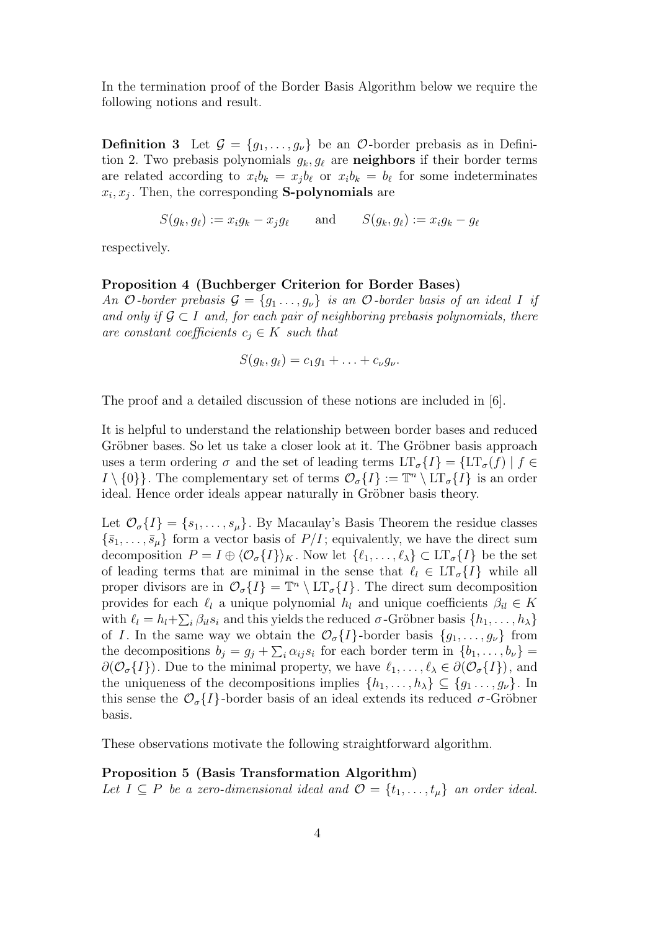In the termination proof of the Border Basis Algorithm below we require the following notions and result.

**Definition 3** Let  $\mathcal{G} = \{g_1, \ldots, g_\nu\}$  be an  $\mathcal{O}\text{-border prebasis as in Defini-}$ tion 2. Two prebasis polynomials  $g_k, g_\ell$  are **neighbors** if their border terms are related according to  $x_i b_k = x_j b_\ell$  or  $x_i b_k = b_\ell$  for some indeterminates  $x_i, x_j$ . Then, the corresponding **S-polynomials** are

$$
S(g_k, g_\ell) := x_i g_k - x_j g_\ell \quad \text{and} \quad S(g_k, g_\ell) := x_i g_k - g_\ell
$$

respectively.

#### Proposition 4 (Buchberger Criterion for Border Bases)

An O-border prebasis  $\mathcal{G} = \{g_1 \ldots, g_\nu\}$  is an O-border basis of an ideal I if and only if  $\mathcal{G} \subset I$  and, for each pair of neighboring prebasis polynomials, there are constant coefficients  $c_i \in K$  such that

$$
S(g_k, g_\ell) = c_1 g_1 + \ldots + c_\nu g_\nu.
$$

The proof and a detailed discussion of these notions are included in  $|6|$ .

It is helpful to understand the relationship between border bases and reduced Gröbner bases. So let us take a closer look at it. The Gröbner basis approach uses a term ordering  $\sigma$  and the set of leading terms  $LT_{\sigma} \{I\} = \{LT_{\sigma}(f) | f \in$  $I \setminus \{0\}\}\.$  The complementary set of terms  $\mathcal{O}_{\sigma}\{I\} := \mathbb{T}^n \setminus \overline{\text{LT}_{\sigma}\{I\}}\$ is an order ideal. Hence order ideals appear naturally in Gröbner basis theory.

Let  $\mathcal{O}_{\sigma}{I} = \{s_1, \ldots, s_{\mu}\}\.$  By Macaulay's Basis Theorem the residue classes  $\{\bar{s}_1,\ldots,\bar{s}_\mu\}$  form a vector basis of  $P/I$ ; equivalently, we have the direct sum decomposition  $P = I \oplus \langle \mathcal{O}_{\sigma} \{I\} \rangle_K$ . Now let  $\{\ell_1, \ldots, \ell_{\lambda}\} \subset \mathrm{LT}_{\sigma} \{I\}$  be the set of leading terms that are minimal in the sense that  $\ell_l \in \mathop{\rm LT}\nolimits_\sigma\{I\}$  while all proper divisors are in  $\mathcal{O}_{\sigma}\lbrace I \rbrace = \mathbb{T}^n \setminus \mathrm{LT}_{\sigma}\lbrace I \rbrace$ . The direct sum decomposition provides for each  $\ell_l$  a unique polynomial  $h_l$  and unique coefficients  $\beta_{il} \in K$ with  $\ell_l = h_l + \sum_i \beta_{il} s_i$  and this yields the reduced  $\sigma$ -Gröbner basis  $\{h_1, \ldots, h_\lambda\}$ of I. In the same way we obtain the  $\mathcal{O}_{\sigma}\{I\}$ -border basis  $\{g_1, \ldots, g_\nu\}$  from the decompositions  $b_j = g_j + \sum_i \alpha_{ij} s_i$  for each border term in  $\{b_1, \ldots, b_\nu\}$  $\partial(\mathcal{O}_{\sigma}{I}).$  Due to the minimal property, we have  $\ell_1, \ldots, \ell_{\lambda} \in \partial(\mathcal{O}_{\sigma}{I}),$  and the uniqueness of the decompositions implies  $\{h_1, \ldots, h_\lambda\} \subseteq \{g_1, \ldots, g_\nu\}$ . In this sense the  $\mathcal{O}_{\sigma}\lbrace I \rbrace$ -border basis of an ideal extends its reduced  $\sigma$ -Gröbner basis.

These observations motivate the following straightforward algorithm.

#### Proposition 5 (Basis Transformation Algorithm)

Let  $I \subseteq P$  be a zero-dimensional ideal and  $\mathcal{O} = \{t_1, \ldots, t_{\mu}\}\$ an order ideal.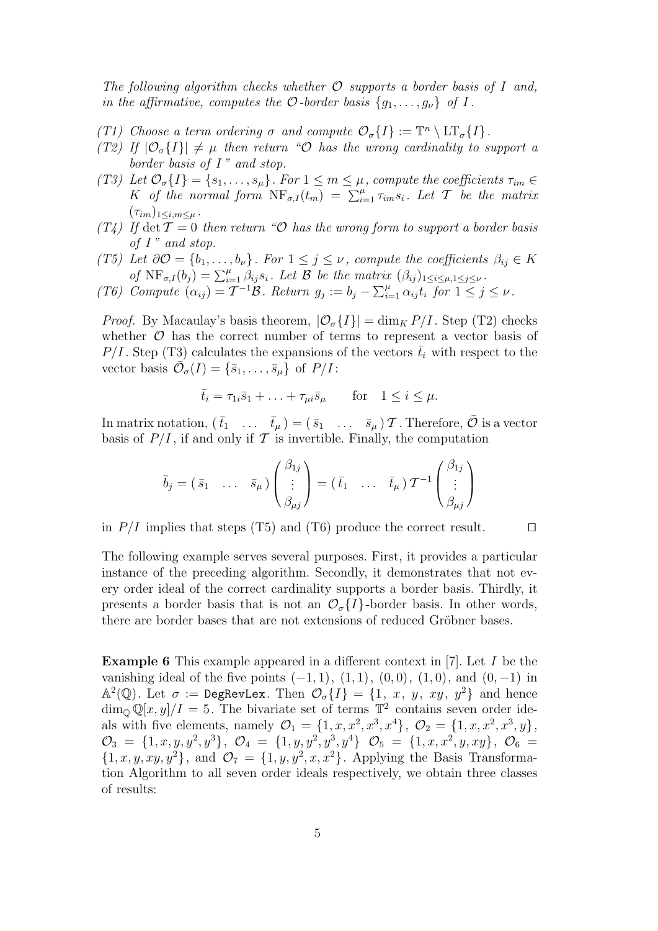The following algorithm checks whether  $\mathcal O$  supports a border basis of I and, in the affirmative, computes the  $\mathcal O$ -border basis  $\{g_1, \ldots, g_\nu\}$  of I.

- (T1) Choose a term ordering  $\sigma$  and compute  $\mathcal{O}_{\sigma}\lbrace I \rbrace := \mathbb{T}^n \setminus \mathrm{LT}_{\sigma}\lbrace I \rbrace$ .
- (T2) If  $|\mathcal{O}_{\sigma}{I}|\neq \mu$  then return "O has the wrong cardinality to support a border basis of  $I$ " and stop.
- (T3) Let  $\mathcal{O}_{\sigma}\lbrace I \rbrace = \lbrace s_1, \ldots, s_{\mu} \rbrace$ . For  $1 \leq m \leq \mu$ , compute the coefficients  $\tau_{im} \in$ K of the normal form  $\text{NF}_{\sigma,I}(t_m) = \sum_{i=1}^{\mu} \tau_{im} s_i$ . Let T be the matrix  $(\tau_{im})_{1\leq i,m\leq \mu}$ .
- (T4) If det  $\mathcal{T} = 0$  then return "O has the wrong form to support a border basis of  $I$ " and stop.
- (T5) Let  $\partial \mathcal{O} = \{b_1, \ldots, b_\nu\}$ . For  $1 \leq j \leq \nu$ , compute the coefficients  $\beta_{ij} \in K$ of  $NF_{\sigma,I}(b_j) = \sum_{i=1}^{\mu} \beta_{ij} s_i$ . Let  $\beta$  be the matrix  $(\beta_{ij})_{1 \leq i \leq \mu, 1 \leq j \leq \nu}$ .
- (T6) Compute  $(\alpha_{ij}) = \mathcal{T}^{-1} \mathcal{B}$ . Return  $g_j := b_j \sum_{i=1}^{\mu} \alpha_{ij} t_i$  for  $1 \leq j \leq \nu$ .

*Proof.* By Macaulay's basis theorem,  $|\mathcal{O}_{\sigma{I}}| = \dim_{K} P/I$ . Step (T2) checks whether  $\mathcal O$  has the correct number of terms to represent a vector basis of  $P/I$ . Step (T3) calculates the expansions of the vectors  $\bar{t}_i$  with respect to the vector basis  $\overline{\mathcal{O}}_{\sigma}(I) = \{\overline{s}_1, \ldots, \overline{s}_\mu\}$  of  $P/I$ :

$$
\bar{t}_i = \tau_{1i}\bar{s}_1 + \ldots + \tau_{\mu i}\bar{s}_{\mu} \quad \text{for} \quad 1 \le i \le \mu.
$$

In matrix notation,  $(\bar{t}_1 \dots \bar{t}_\mu) = (\bar{s}_1 \dots \bar{s}_\mu) \mathcal{T}$ . Therefore,  $\bar{\mathcal{O}}$  is a vector basis of  $P/I$ , if and only if T is invertible. Finally, the computation

$$
\bar{b}_j = (\bar{s}_1 \quad \dots \quad \bar{s}_\mu) \begin{pmatrix} \beta_{1j} \\ \vdots \\ \beta_{\mu j} \end{pmatrix} = (\bar{t}_1 \quad \dots \quad \bar{t}_\mu) \mathcal{T}^{-1} \begin{pmatrix} \beta_{1j} \\ \vdots \\ \beta_{\mu j} \end{pmatrix}
$$

in  $P/I$  implies that steps (T5) and (T6) produce the correct result.  $\Box$ 

The following example serves several purposes. First, it provides a particular instance of the preceding algorithm. Secondly, it demonstrates that not every order ideal of the correct cardinality supports a border basis. Thirdly, it presents a border basis that is not an  $\mathcal{O}_{\sigma}\{I\}$ -border basis. In other words, there are border bases that are not extensions of reduced Gröbner bases.

Example 6 This example appeared in a different context in [7]. Let I be the vanishing ideal of the five points  $(-1, 1)$ ,  $(1, 1)$ ,  $(0, 0)$ ,  $(1, 0)$ , and  $(0, -1)$  in  $\mathbb{A}^2(\mathbb{Q})$ . Let  $\sigma := \mathsf{DegRevLex}$ . Then  $\mathcal{O}_{\sigma}\lbrace I \rbrace = \lbrace 1, x, y, xy, y^2 \rbrace$  and hence  $\dim_{\mathbb{Q}} \mathbb{Q}[x,y]/I = 5$ . The bivariate set of terms  $\mathbb{T}^2$  contains seven order ideals with five elements, namely  $\mathcal{O}_1 = \{1, x, x^2, x^3, x^4\}, \ \mathcal{O}_2 = \{1, x, x^2, x^3, y\},\$  $\mathcal{O}_3 = \{1, x, y, y^2, y^3\}, \ \mathcal{O}_4 = \{1, y, y^2, y^3, y^4\} \ \mathcal{O}_5 = \{1, x, x^2, y, xy\}, \ \mathcal{O}_6 =$  $\{1, x, y, xy, y^2\}$ , and  $\mathcal{O}_7 = \{1, y, y^2, x, x^2\}$ . Applying the Basis Transformation Algorithm to all seven order ideals respectively, we obtain three classes of results: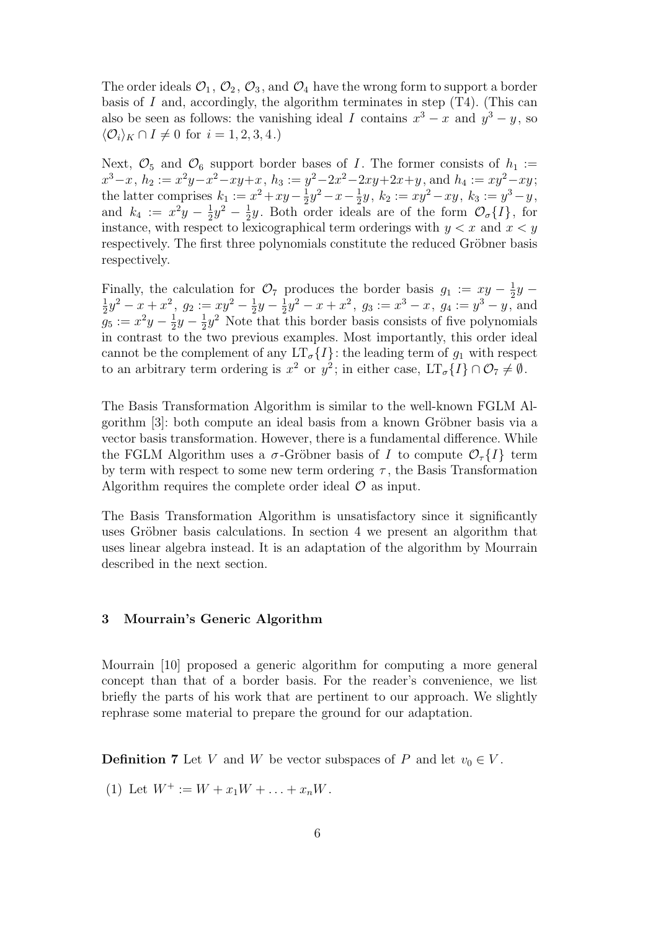The order ideals  $\mathcal{O}_1, \mathcal{O}_2, \mathcal{O}_3$ , and  $\mathcal{O}_4$  have the wrong form to support a border basis of  $I$  and, accordingly, the algorithm terminates in step  $(T4)$ . (This can also be seen as follows: the vanishing ideal I contains  $x^3 - x$  and  $y^3 - y$ , so  $\langle \mathcal{O}_i \rangle_K \cap I \neq 0$  for  $i = 1, 2, 3, 4$ .)

Next,  $\mathcal{O}_5$  and  $\mathcal{O}_6$  support border bases of I. The former consists of  $h_1 :=$  $x^3 - x$ ,  $h_2 := x^2y - x^2 - xy + x$ ,  $h_3 := y^2 - 2x^2 - 2xy + 2x + y$ , and  $h_4 := xy^2 - xy$ ; the latter comprises  $k_1 := x^2 + xy - \frac{1}{2}$  $\frac{1}{2}y^2 - x - \frac{1}{2}$  $\frac{1}{2}y, k_2 := xy^2 - xy, k_3 := y^3 - y,$ and  $k_4 := x^2y - \frac{1}{2}$  $\frac{1}{2}y^2 - \frac{1}{2}$  $\frac{1}{2}y$ . Both order ideals are of the form  $\mathcal{O}_{\sigma}{I}$ , for instance, with respect to lexicographical term orderings with  $y < x$  and  $x < y$ respectively. The first three polynomials constitute the reduced Gröbner basis respectively.

Finally, the calculation for  $\mathcal{O}_7$  produces the border basis  $g_1 := xy - \frac{1}{2}$  $rac{1}{2}y -$ 1  $\frac{1}{2}y^2 - x + x^2$ ,  $g_2 := xy^2 - \frac{1}{2}$  $rac{1}{2}y - \frac{1}{2}$  $\frac{1}{2}y^2 - x + x^2$ ,  $g_3 := x^3 - x$ ,  $g_4 := y^3 - y$ , and  $g_5 := x^2y - \frac{1}{2}$  $rac{1}{2}y - \frac{1}{2}$  $\frac{1}{2}y^2$  Note that this border basis consists of five polynomials in contrast to the two previous examples. Most importantly, this order ideal cannot be the complement of any  $LT_{\sigma}\lbrace I \rbrace$ : the leading term of  $q_1$  with respect to an arbitrary term ordering is  $x^2$  or  $y^2$ ; in either case,  $LT_{\sigma}\lbrace I \rbrace \cap \mathcal{O}_7 \neq \emptyset$ .

The Basis Transformation Algorithm is similar to the well-known FGLM Algorithm [3]: both compute an ideal basis from a known Gröbner basis via a vector basis transformation. However, there is a fundamental difference. While the FGLM Algorithm uses a  $\sigma$ -Gröbner basis of I to compute  $\mathcal{O}_{\tau}\{I\}$  term by term with respect to some new term ordering  $\tau$ , the Basis Transformation Algorithm requires the complete order ideal  $\mathcal O$  as input.

The Basis Transformation Algorithm is unsatisfactory since it significantly uses Gröbner basis calculations. In section 4 we present an algorithm that uses linear algebra instead. It is an adaptation of the algorithm by Mourrain described in the next section.

## 3 Mourrain's Generic Algorithm

Mourrain [10] proposed a generic algorithm for computing a more general concept than that of a border basis. For the reader's convenience, we list briefly the parts of his work that are pertinent to our approach. We slightly rephrase some material to prepare the ground for our adaptation.

**Definition 7** Let V and W be vector subspaces of P and let  $v_0 \in V$ .

(1) Let  $W^+ := W + x_1W + \ldots + x_nW$ .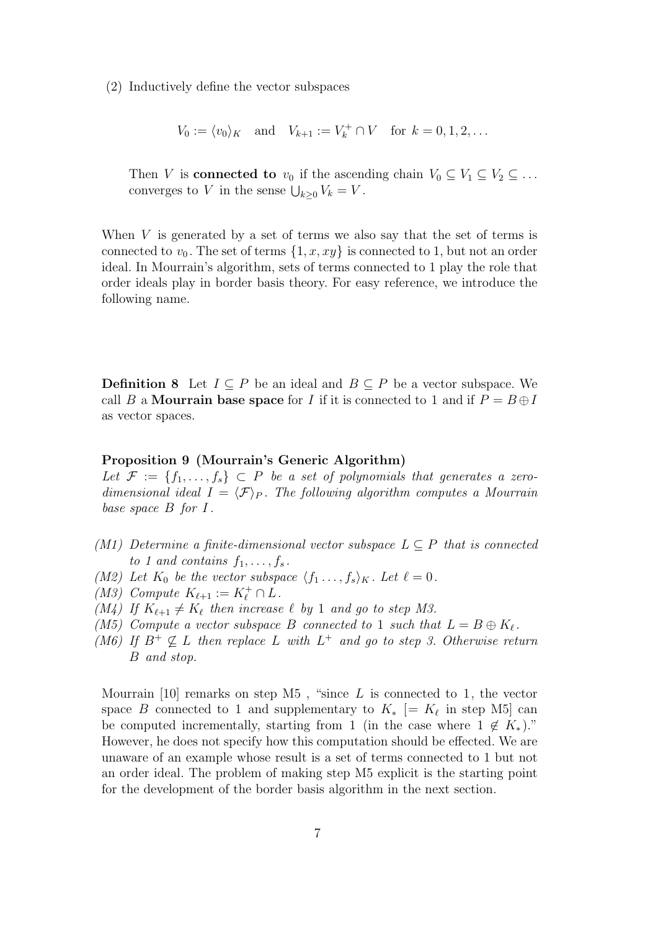(2) Inductively define the vector subspaces

$$
V_0 := \langle v_0 \rangle_K
$$
 and  $V_{k+1} := V_k^+ \cap V$  for  $k = 0, 1, 2, ...$ 

Then V is **connected to**  $v_0$  if the ascending chain  $V_0 \subseteq V_1 \subseteq V_2 \subseteq \ldots$ converges to V in the sense  $\bigcup_{k\geq 0} V_k = V$ .

When V is generated by a set of terms we also say that the set of terms is connected to  $v_0$ . The set of terms  $\{1, x, xy\}$  is connected to 1, but not an order ideal. In Mourrain's algorithm, sets of terms connected to 1 play the role that order ideals play in border basis theory. For easy reference, we introduce the following name.

**Definition 8** Let  $I ⊂ P$  be an ideal and  $B ⊂ P$  be a vector subspace. We call B a Mourrain base space for I if it is connected to 1 and if  $P = B \oplus I$ as vector spaces.

#### Proposition 9 (Mourrain's Generic Algorithm)

Let  $\mathcal{F} := \{f_1, \ldots, f_s\} \subset P$  be a set of polynomials that generates a zerodimensional ideal  $I = \langle \mathcal{F} \rangle_P$ . The following algorithm computes a Mourrain base space  $B$  for  $I$ .

- (M1) Determine a finite-dimensional vector subspace  $L \subseteq P$  that is connected to 1 and contains  $f_1, \ldots, f_s$ .
- (M2) Let  $K_0$  be the vector subspace  $\langle f_1, \ldots, f_s \rangle_K$ . Let  $\ell = 0$ .
- (M3) Compute  $K_{\ell+1} := K_{\ell}^+ \cap L$ .
- (M4) If  $K_{\ell+1} \neq K_{\ell}$  then increase  $\ell$  by 1 and go to step M3.
- (M5) Compute a vector subspace B connected to 1 such that  $L = B \oplus K_{\ell}$ .
- (M6) If  $B^+ \nsubseteq L$  then replace L with  $L^+$  and go to step 3. Otherwise return B and stop.

Mourrain [10] remarks on step M5, "since  $L$  is connected to 1, the vector space B connected to 1 and supplementary to  $K_*$  [=  $K_\ell$  in step M5] can be computed incrementally, starting from 1 (in the case where  $1 \notin K_*$ )." However, he does not specify how this computation should be effected. We are unaware of an example whose result is a set of terms connected to 1 but not an order ideal. The problem of making step M5 explicit is the starting point for the development of the border basis algorithm in the next section.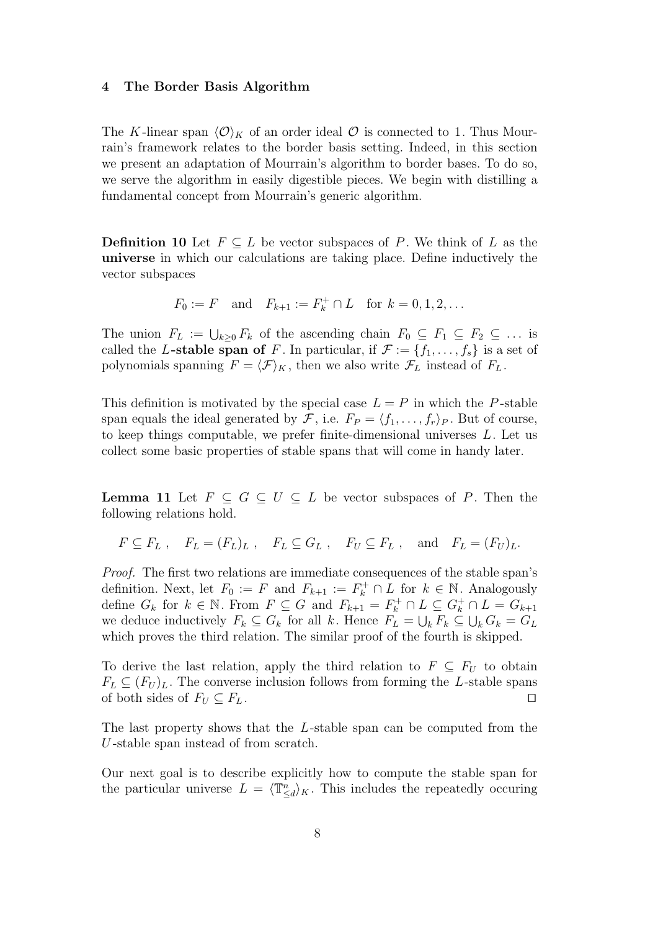#### 4 The Border Basis Algorithm

The K-linear span  $\langle \mathcal{O} \rangle_K$  of an order ideal  $\mathcal O$  is connected to 1. Thus Mourrain's framework relates to the border basis setting. Indeed, in this section we present an adaptation of Mourrain's algorithm to border bases. To do so, we serve the algorithm in easily digestible pieces. We begin with distilling a fundamental concept from Mourrain's generic algorithm.

**Definition 10** Let  $F \subseteq L$  be vector subspaces of P. We think of L as the universe in which our calculations are taking place. Define inductively the vector subspaces

$$
F_0 := F
$$
 and  $F_{k+1} := F_k^+ \cap L$  for  $k = 0, 1, 2, ...$ 

The union  $F_L := \bigcup_{k \geq 0} F_k$  of the ascending chain  $F_0 \subseteq F_1 \subseteq F_2 \subseteq \ldots$  is called the L-stable span of F. In particular, if  $\mathcal{F} := \{f_1, \ldots, f_s\}$  is a set of polynomials spanning  $F = \langle \mathcal{F} \rangle_K$ , then we also write  $\mathcal{F}_L$  instead of  $F_L$ .

This definition is motivated by the special case  $L = P$  in which the P-stable span equals the ideal generated by  $\mathcal{F}$ , i.e.  $F_P = \langle f_1, \ldots, f_r \rangle_P$ . But of course, to keep things computable, we prefer finite-dimensional universes  $L$ . Let us collect some basic properties of stable spans that will come in handy later.

**Lemma 11** Let  $F \subseteq G \subseteq U \subseteq L$  be vector subspaces of P. Then the following relations hold.

$$
F \subseteq F_L
$$
,  $F_L = (F_L)_L$ ,  $F_L \subseteq G_L$ ,  $F_U \subseteq F_L$ , and  $F_L = (F_U)_L$ .

Proof. The first two relations are immediate consequences of the stable span's definition. Next, let  $F_0 := F$  and  $F_{k+1} := F_k^+ \cap L$  for  $k \in \mathbb{N}$ . Analogously define  $G_k$  for  $k \in \mathbb{N}$ . From  $F \subseteq G$  and  $F_{k+1} = F_k^+ \cap L \subseteq G_k^+ \cap L = G_{k+1}$ we deduce inductively  $F_k \subseteq G_k$  for all k. Hence  $F_L = \bigcup_k F_k \subseteq \bigcup_k G_k = G_L$ which proves the third relation. The similar proof of the fourth is skipped.

To derive the last relation, apply the third relation to  $F \subseteq F_U$  to obtain  $F_L \subseteq (F_U)_L$ . The converse inclusion follows from forming the L-stable spans of both sides of  $F_U \subseteq F_L$ .

The last property shows that the L-stable span can be computed from the U -stable span instead of from scratch.

Our next goal is to describe explicitly how to compute the stable span for the particular universe  $L = \langle \mathbb{T}_{\le d}^n \rangle_K$ . This includes the repeatedly occuring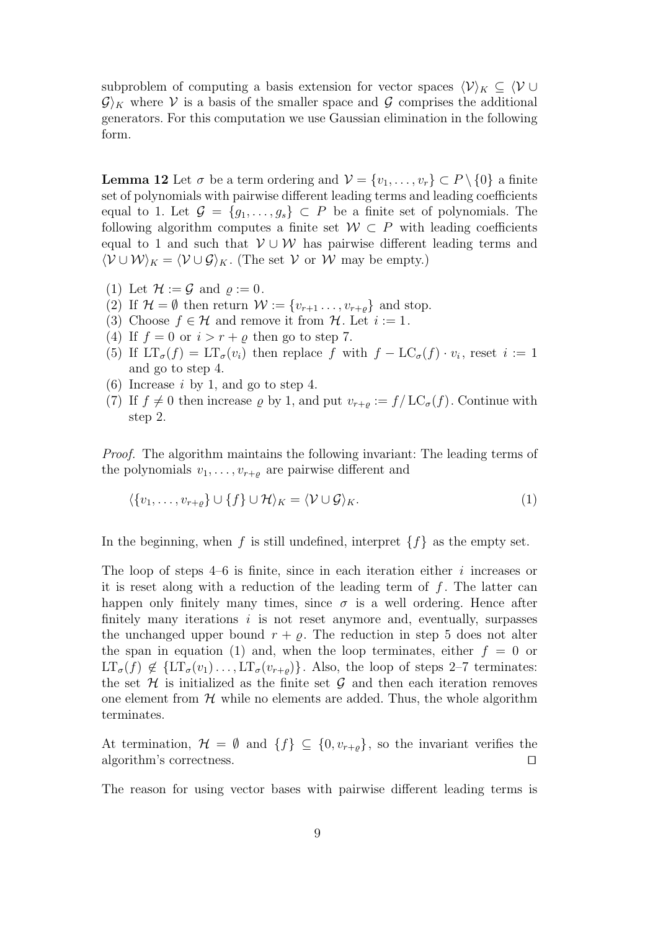subproblem of computing a basis extension for vector spaces  $\langle \mathcal{V} \rangle_K \subseteq \langle \mathcal{V} \cup$  $\mathcal{G}_K$  where V is a basis of the smaller space and G comprises the additional generators. For this computation we use Gaussian elimination in the following form.

**Lemma 12** Let  $\sigma$  be a term ordering and  $\mathcal{V} = \{v_1, \ldots, v_r\} \subset P \setminus \{0\}$  a finite set of polynomials with pairwise different leading terms and leading coefficients equal to 1. Let  $\mathcal{G} = \{g_1, \ldots, g_s\} \subset P$  be a finite set of polynomials. The following algorithm computes a finite set  $W \subset P$  with leading coefficients equal to 1 and such that  $V \cup W$  has pairwise different leading terms and  $\langle \mathcal{V} \cup \mathcal{W} \rangle_K = \langle \mathcal{V} \cup \mathcal{G} \rangle_K$ . (The set  $\mathcal{V}$  or  $\mathcal{W}$  may be empty.)

- (1) Let  $\mathcal{H} := \mathcal{G}$  and  $\rho := 0$ .
- (2) If  $\mathcal{H} = \emptyset$  then return  $\mathcal{W} := \{v_{r+1}, \ldots, v_{r+\rho}\}\$  and stop.
- (3) Choose  $f \in \mathcal{H}$  and remove it from  $\mathcal{H}$ . Let  $i := 1$ .
- (4) If  $f = 0$  or  $i > r + \rho$  then go to step 7.
- (5) If  $LT_{\sigma}(f) = LT_{\sigma}(v_i)$  then replace f with  $f LC_{\sigma}(f) \cdot v_i$ , reset  $i := 1$ and go to step 4.
- (6) Increase  $i$  by 1, and go to step 4.
- (7) If  $f \neq 0$  then increase  $\varrho$  by 1, and put  $v_{r+\varrho} := f/LC_{\sigma}(f)$ . Continue with step 2.

Proof. The algorithm maintains the following invariant: The leading terms of the polynomials  $v_1, \ldots, v_{r+\varrho}$  are pairwise different and

$$
\langle \{v_1, \ldots, v_{r+\varrho}\} \cup \{f\} \cup \mathcal{H} \rangle_K = \langle \mathcal{V} \cup \mathcal{G} \rangle_K. \tag{1}
$$

In the beginning, when f is still undefined, interpret  $\{f\}$  as the empty set.

The loop of steps  $4-6$  is finite, since in each iteration either i increases or it is reset along with a reduction of the leading term of  $f$ . The latter can happen only finitely many times, since  $\sigma$  is a well ordering. Hence after finitely many iterations  $i$  is not reset anymore and, eventually, surpasses the unchanged upper bound  $r + \rho$ . The reduction in step 5 does not alter the span in equation (1) and, when the loop terminates, either  $f = 0$  or  $LT_{\sigma}(f) \notin \{LT_{\sigma}(v_1) \ldots, LT_{\sigma}(v_{r+\rho})\}.$  Also, the loop of steps 2–7 terminates: the set  $\mathcal H$  is initialized as the finite set  $\mathcal G$  and then each iteration removes one element from  $H$  while no elements are added. Thus, the whole algorithm terminates.

At termination,  $\mathcal{H} = \emptyset$  and  $\{f\} \subseteq \{0, v_{r+\varrho}\}\$ , so the invariant verifies the algorithm's correctness.  $\Box$ 

The reason for using vector bases with pairwise different leading terms is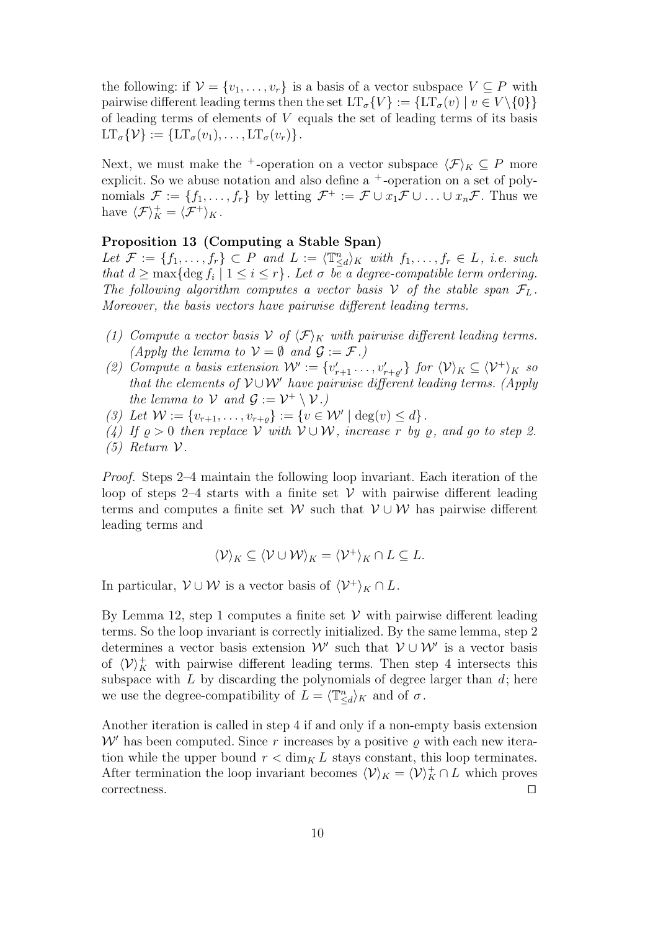the following: if  $\mathcal{V} = \{v_1, \ldots, v_r\}$  is a basis of a vector subspace  $V \subseteq P$  with pairwise different leading terms then the set  $LT_{\sigma}\{V\} := \{LT_{\sigma}(v) | v \in V \setminus \{0\}\}\$ of leading terms of elements of V equals the set of leading terms of its basis  $LT_{\sigma} \{ \mathcal{V} \} := \{ LT_{\sigma}(v_1), \ldots, LT_{\sigma}(v_r) \}.$ 

Next, we must make the <sup>+</sup>-operation on a vector subspace  $\langle \mathcal{F} \rangle_K \subset P$  more explicit. So we abuse notation and also define a  $+$ -operation on a set of polynomials  $\mathcal{F} := \{f_1, \ldots, f_r\}$  by letting  $\mathcal{F}^+ := \mathcal{F} \cup x_1 \mathcal{F} \cup \ldots \cup x_n \mathcal{F}$ . Thus we have  $\langle \mathcal{F} \rangle_K^+ = \langle \mathcal{F}^+ \rangle_K$ .

# Proposition 13 (Computing a Stable Span)

Let  $\mathcal{F} := \{f_1, \ldots, f_r\} \subset P$  and  $L := \langle \mathbb{T}_{\leq d}^n \rangle_K$  with  $f_1, \ldots, f_r \in L$ , i.e. such that  $d \geq \max\{\deg f_i \mid 1 \leq i \leq r\}$ . Let  $\sigma$  be a degree-compatible term ordering. The following algorithm computes a vector basis V of the stable span  $\mathcal{F}_L$ . Moreover, the basis vectors have pairwise different leading terms.

- (1) Compute a vector basis  $V$  of  $\langle \mathcal{F} \rangle_K$  with pairwise different leading terms. (Apply the lemma to  $V = \emptyset$  and  $\mathcal{G} := \mathcal{F}$ .)
- (2) Compute a basis extension  $\mathcal{W}' := \{v'_{r+1} \ldots, v'_{r+\varrho'}\}$  for  $\langle \mathcal{V} \rangle_K \subseteq \langle \mathcal{V}^+ \rangle_K$  so that the elements of  $\mathcal{V} \cup \mathcal{W}'$  have pairwise different leading terms. (Apply the lemma to  $\mathcal V$  and  $\mathcal G := \mathcal V^+ \setminus \mathcal V$ .
- (3) Let  $W := \{v_{r+1}, \ldots, v_{r+\varrho}\} := \{v \in \mathcal{W}' \mid \deg(v) \leq d\}.$
- (4) If  $\rho > 0$  then replace V with  $V \cup W$ , increase r by  $\rho$ , and go to step 2.
- (5) Return  $\mathcal V$ .

Proof. Steps 2–4 maintain the following loop invariant. Each iteration of the loop of steps 2–4 starts with a finite set  $V$  with pairwise different leading terms and computes a finite set W such that  $V \cup W$  has pairwise different leading terms and

$$
\langle \mathcal{V} \rangle_K \subseteq \langle \mathcal{V} \cup \mathcal{W} \rangle_K = \langle \mathcal{V}^+ \rangle_K \cap L \subseteq L.
$$

In particular,  $V \cup W$  is a vector basis of  $\langle V^{\dagger}\rangle_K \cap L$ .

By Lemma 12, step 1 computes a finite set  $V$  with pairwise different leading terms. So the loop invariant is correctly initialized. By the same lemma, step 2 determines a vector basis extension  $\mathcal{W}'$  such that  $\mathcal{V} \cup \mathcal{W}'$  is a vector basis of  $\langle \mathcal{V} \rangle_K^+$  with pairwise different leading terms. Then step 4 intersects this subspace with  $L$  by discarding the polynomials of degree larger than  $d$ ; here we use the degree-compatibility of  $L = \langle \mathbb{T}_{\le d}^n \rangle_K$  and of  $\sigma$ .

Another iteration is called in step 4 if and only if a non-empty basis extension  $W'$  has been computed. Since r increases by a positive  $\rho$  with each new iteration while the upper bound  $r < \dim_K L$  stays constant, this loop terminates. After termination the loop invariant becomes  $\langle V \rangle_K = \langle V \rangle_K^+ \cap L$  which proves correctness.  $\Box$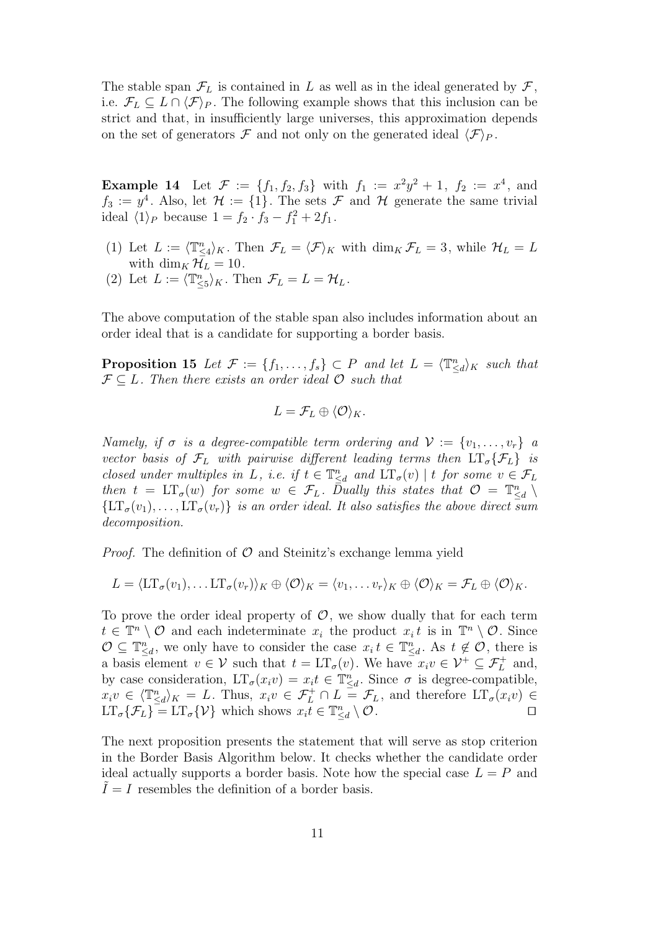The stable span  $\mathcal{F}_L$  is contained in L as well as in the ideal generated by  $\mathcal{F}$ , i.e.  $\mathcal{F}_L \subseteq L \cap \langle \mathcal{F} \rangle_P$ . The following example shows that this inclusion can be strict and that, in insufficiently large universes, this approximation depends on the set of generators  $\mathcal F$  and not only on the generated ideal  $\langle \mathcal F \rangle_P$ .

**Example 14** Let  $\mathcal{F} := \{f_1, f_2, f_3\}$  with  $f_1 := x^2y^2 + 1$ ,  $f_2 := x^4$ , and  $f_3 := y^4$ . Also, let  $\mathcal{H} := \{1\}$ . The sets  $\mathcal F$  and  $\mathcal H$  generate the same trivial ideal  $\langle 1 \rangle_P$  because  $1 = f_2 \cdot f_3 - f_1^2 + 2f_1$ .

- (1) Let  $L := \langle \mathbb{T}_{\leq 4}^n \rangle_K$ . Then  $\mathcal{F}_L = \langle \mathcal{F} \rangle_K$  with  $\dim_K \mathcal{F}_L = 3$ , while  $\mathcal{H}_L = L$ with  $\dim_K \mathcal{H}_L = 10$ .
- (2) Let  $L := \langle \mathbb{T}_{\leq 5}^n \rangle_K$ . Then  $\mathcal{F}_L = L = \mathcal{H}_L$ .

The above computation of the stable span also includes information about an order ideal that is a candidate for supporting a border basis.

**Proposition 15** Let  $\mathcal{F} := \{f_1, \ldots, f_s\} \subset P$  and let  $L = \langle \mathbb{T}_{\le d}^n \rangle_K$  such that  $\mathcal{F} \subseteq L$ . Then there exists an order ideal  $\mathcal{O}$  such that

$$
L=\mathcal{F}_L\oplus \langle \mathcal{O}\rangle_K.
$$

Namely, if  $\sigma$  is a degree-compatible term ordering and  $\mathcal{V} := \{v_1, \ldots, v_r\}$  a vector basis of  $\mathcal{F}_L$  with pairwise different leading terms then  $LT_{\sigma} \{F_L\}$  is closed under multiples in L, i.e. if  $t \in \mathbb{T}_{\leq d}^n$  and  $LT_{\sigma}(v) \mid t$  for some  $v \in \mathcal{F}_L$ then  $t = LT_{\sigma}(w)$  for some  $w \in \mathcal{F}_L$ . Dually this states that  $\mathcal{O} = \mathbb{T}_{\leq d}^n \setminus$  $\{\operatorname{LT}_{\sigma}(v_1), \ldots, \operatorname{LT}_{\sigma}(v_r)\}\$  is an order ideal. It also satisfies the above direct sum decomposition.

*Proof.* The definition of  $\mathcal{O}$  and Steinitz's exchange lemma yield

$$
L = \langle \mathop{\rm LT}\nolimits_{\sigma}(v_1), \ldots \mathop{\rm LT}\nolimits_{\sigma}(v_r) \rangle_K \oplus \langle \mathcal{O} \rangle_K = \langle v_1, \ldots v_r \rangle_K \oplus \langle \mathcal{O} \rangle_K = \mathcal{F}_L \oplus \langle \mathcal{O} \rangle_K.
$$

To prove the order ideal property of  $\mathcal{O}$ , we show dually that for each term  $t \in \mathbb{T}^n \setminus \mathcal{O}$  and each indeterminate  $x_i$  the product  $x_i t$  is in  $\mathbb{T}^n \setminus \mathcal{O}$ . Since  $\mathcal{O} \subseteq \mathbb{T}_{\leq d}^n$ , we only have to consider the case  $x_i t \in \mathbb{T}_{\leq d}^n$ . As  $t \notin \mathcal{O}$ , there is a basis element  $v \in \mathcal{V}$  such that  $t = LT_{\sigma}(v)$ . We have  $x_i v \in \mathcal{V}^+ \subseteq \mathcal{F}_L^+$  and, by case consideration,  $LT_{\sigma}(x_i v) = x_i t \in \mathbb{T}_{\leq d}^n$ . Since  $\sigma$  is degree-compatible,  $x_i v \in \langle \mathbb{T}_{\le d}^n \rangle_K = L$ . Thus,  $x_i v \in \mathcal{F}_L^+ \cap L = \mathcal{F}_L$ , and therefore  $LT_{\sigma}(x_i v) \in$  $LT_{\sigma}\{\mathcal{F}_L\} = LT_{\sigma}\{\mathcal{V}\}\$  which shows  $x_i \vec{t} \in \mathbb{T}_{\leq d}^n \setminus \mathcal{O}$ .

The next proposition presents the statement that will serve as stop criterion in the Border Basis Algorithm below. It checks whether the candidate order ideal actually supports a border basis. Note how the special case  $L = P$  and  $I = I$  resembles the definition of a border basis.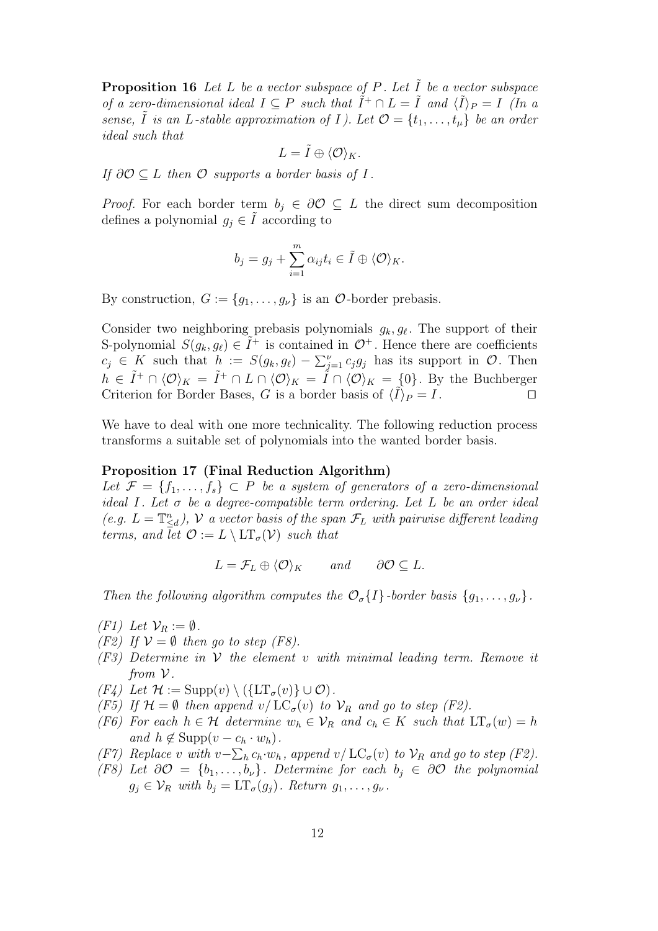**Proposition 16** Let L be a vector subspace of P. Let  $\tilde{I}$  be a vector subspace of a zero-dimensional ideal  $I \subseteq P$  such that  $\tilde{I}^+ \cap L = \tilde{I}$  and  $\langle \tilde{I} \rangle_P = I$  (In a sense,  $\tilde{I}$  is an L-stable approximation of I). Let  $\mathcal{O} = \{t_1, \ldots, t_{\mu}\}\$ be an order ideal such that

$$
L=\tilde{I}\oplus\langle \mathcal{O}\rangle_K.
$$

If  $\partial \mathcal{O} \subset L$  then  $\mathcal{O}$  supports a border basis of I.

*Proof.* For each border term  $b_j \in \partial \mathcal{O} \subseteq L$  the direct sum decomposition defines a polynomial  $g_j \in I$  according to

$$
b_j = g_j + \sum_{i=1}^m \alpha_{ij} t_i \in \tilde{I} \oplus \langle \mathcal{O} \rangle_K.
$$

By construction,  $G := \{g_1, \ldots, g_\nu\}$  is an  $\mathcal{O}\text{-border prebasis.}$ 

Consider two neighboring prebasis polynomials  $g_k, g_\ell$ . The support of their S-polynomial  $S(g_k, g_\ell) \in \tilde{I}^+$  is contained in  $\mathcal{O}^+$ . Hence there are coefficients  $c_j \in K$  such that  $h := S(g_k, g_\ell) - \sum_{j=1}^\nu c_j g_j$  has its support in  $\mathcal{O}$ . Then  $h \in \tilde{I}^+ \cap \langle \mathcal{O} \rangle_K = \tilde{I}^+ \cap L \cap \langle \mathcal{O} \rangle_K = \tilde{I} \cap \langle \mathcal{O} \rangle_K = \{0\}.$  By the Buchberger Criterion for Border Bases, G is a border basis of  $\langle \tilde{I} \rangle_P = I$ .

We have to deal with one more technicality. The following reduction process transforms a suitable set of polynomials into the wanted border basis.

# Proposition 17 (Final Reduction Algorithm)

Let  $\mathcal{F} = \{f_1, \ldots, f_s\} \subset P$  be a system of generators of a zero-dimensional ideal I. Let  $\sigma$  be a degree-compatible term ordering. Let L be an order ideal (e.g.  $L = \mathbb{T}_{\leq d}^n$ ),  $\mathcal V$  a vector basis of the span  $\mathcal F_L$  with pairwise different leading terms, and let  $\mathcal{O} := L \setminus \mathrm{LT}_{\sigma}(\mathcal{V})$  such that

 $L = \mathcal{F}_L \oplus \langle \mathcal{O} \rangle_K$  and ∂ $\mathcal{O} \subset L$ .

Then the following algorithm computes the  $\mathcal{O}_{\sigma}{I}$ -border basis  $\{g_1, \ldots, g_\nu\}$ .

- $(F1)$  Let  $\mathcal{V}_R := \emptyset$ .
- (F2) If  $V = \emptyset$  then go to step (F8).
- $(F3)$  Determine in V the element v with minimal leading term. Remove it from  $\mathcal V$ .
- $(F4)$  Let  $\mathcal{H} := \text{Supp}(v) \setminus (\{\text{LT}_{\sigma}(v)\} \cup \mathcal{O}).$
- (F5) If  $\mathcal{H} = \emptyset$  then append  $v / LC_{\sigma}(v)$  to  $\mathcal{V}_R$  and go to step (F2).
- (F6) For each  $h \in \mathcal{H}$  determine  $w_h \in \mathcal{V}_R$  and  $c_h \in K$  such that  $LT_{\sigma}(w) = h$ and  $h \notin \text{Supp}(v - c_h \cdot w_h)$ .
- (F7) Replace v with  $v \sum_h c_h \cdot w_h$ , append  $v / LC_{\sigma}(v)$  to  $\mathcal{V}_R$  and go to step (F2).
- (F8) Let  $\partial \mathcal{O} = \{b_1, \ldots, b_\nu\}$ . Determine for each  $b_j \in \partial \mathcal{O}$  the polynomial  $g_j \in \mathcal{V}_R$  with  $b_j = \mathop{\rm LT}\nolimits_\sigma(g_j)$ . Return  $g_1, \ldots, g_\nu$ .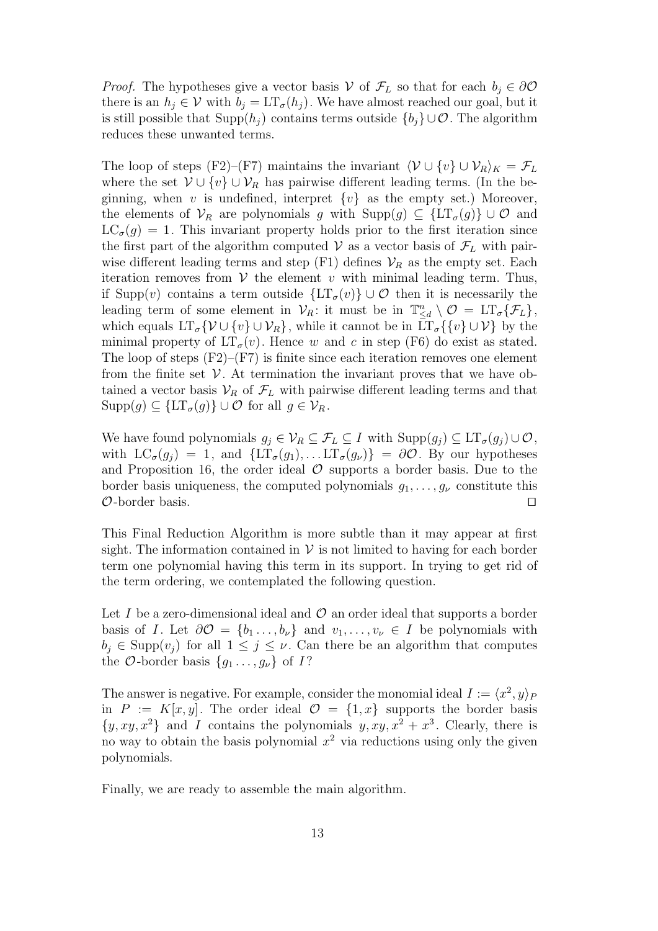*Proof.* The hypotheses give a vector basis V of  $\mathcal{F}_L$  so that for each  $b_j \in \partial \mathcal{O}$ there is an  $h_j \in V$  with  $b_j = LT_{\sigma}(h_j)$ . We have almost reached our goal, but it is still possible that Supp $(h_i)$  contains terms outside  $\{b_i\} \cup \mathcal{O}$ . The algorithm reduces these unwanted terms.

The loop of steps (F2)–(F7) maintains the invariant  $\langle V \cup \{v\} \cup V_R \rangle_K = \mathcal{F}_L$ where the set  $\mathcal{V} \cup \{v\} \cup \mathcal{V}_R$  has pairwise different leading terms. (In the beginning, when v is undefined, interpret  $\{v\}$  as the empty set.) Moreover, the elements of  $\mathcal{V}_R$  are polynomials g with  $\text{Supp}(g) \subseteq \{LT_{\sigma}(g)\} \cup \mathcal{O}$  and  $LC_{\sigma}(g) = 1$ . This invariant property holds prior to the first iteration since the first part of the algorithm computed  $V$  as a vector basis of  $\mathcal{F}_L$  with pairwise different leading terms and step  $(F1)$  defines  $\mathcal{V}_R$  as the empty set. Each iteration removes from  $V$  the element v with minimal leading term. Thus, if Supp(v) contains a term outside  $\{\mathop{\rm LT}\nolimits_{\sigma}(v)\}\cup\mathcal{O}$  then it is necessarily the leading term of some element in  $\mathcal{V}_R$ : it must be in  $\mathbb{T}_{\leq d}^n \setminus \mathcal{O} = \mathop{\rm LT}\nolimits_\sigma\{\mathcal{F}_L\},\$ which equals  $LT_{\sigma}\{\mathcal{V} \cup \{v\} \cup \mathcal{V}_R\}$ , while it cannot be in  $LT_{\sigma}\{\{v\} \cup \mathcal{V}\}$  by the minimal property of  $LT_{\sigma}(v)$ . Hence w and c in step (F6) do exist as stated. The loop of steps  $(F2)$ – $(F7)$  is finite since each iteration removes one element from the finite set  $\mathcal V$ . At termination the invariant proves that we have obtained a vector basis  $\mathcal{V}_R$  of  $\mathcal{F}_L$  with pairwise different leading terms and that  $\text{Supp}(g) \subseteq \{LT_{\sigma}(g)\} \cup \mathcal{O}$  for all  $g \in \mathcal{V}_R$ .

We have found polynomials  $g_j \in \mathcal{V}_R \subseteq \mathcal{F}_L \subseteq I$  with  $\text{Supp}(g_j) \subseteq \text{LT}_{\sigma}(g_j) \cup \mathcal{O}$ , with  $LC_{\sigma}(g_i) = 1$ , and  $\{LT_{\sigma}(g_1), \ldots LT_{\sigma}(g_{\nu})\} = \partial \mathcal{O}$ . By our hypotheses and Proposition 16, the order ideal  $\mathcal O$  supports a border basis. Due to the border basis uniqueness, the computed polynomials  $g_1, \ldots, g_\nu$  constitute this  $\mathcal O$ -border basis.  $\Box$ 

This Final Reduction Algorithm is more subtle than it may appear at first sight. The information contained in  $V$  is not limited to having for each border term one polynomial having this term in its support. In trying to get rid of the term ordering, we contemplated the following question.

Let I be a zero-dimensional ideal and  $\mathcal O$  an order ideal that supports a border basis of I. Let  $\partial \mathcal{O} = \{b_1, \ldots, b_\nu\}$  and  $v_1, \ldots, v_\nu \in I$  be polynomials with  $b_i \in \text{Supp}(v_i)$  for all  $1 \leq j \leq \nu$ . Can there be an algorithm that computes the O-border basis  $\{g_1 \ldots, g_\nu\}$  of  $I$ ?

The answer is negative. For example, consider the monomial ideal  $I := \langle x^2, y \rangle_F$ in  $P := K[x, y]$ . The order ideal  $\mathcal{O} = \{1, x\}$  supports the border basis  $\{y, xy, x^2\}$  and I contains the polynomials  $y, xy, x^2 + x^3$ . Clearly, there is no way to obtain the basis polynomial  $x^2$  via reductions using only the given polynomials.

Finally, we are ready to assemble the main algorithm.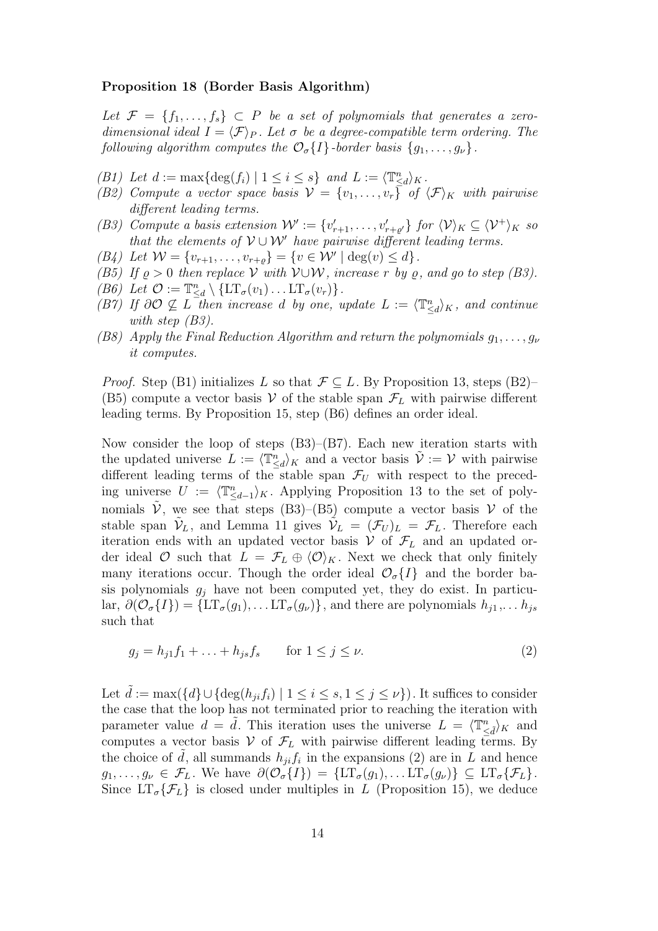#### Proposition 18 (Border Basis Algorithm)

Let  $\mathcal{F} = \{f_1, \ldots, f_s\} \subset P$  be a set of polynomials that generates a zerodimensional ideal  $I = \langle \mathcal{F} \rangle_P$ . Let  $\sigma$  be a degree-compatible term ordering. The following algorithm computes the  $\mathcal{O}_{\sigma}{I}$ -border basis  ${g_1, \ldots, g_{\nu}}$ .

- (B1) Let  $d := \max\{\deg(f_i) \mid 1 \leq i \leq s\}$  and  $L := \langle \mathbb{T}_{\leq d}^n \rangle_K$ .
- (B2) Compute a vector space basis  $V = \{v_1, \ldots, v_r\}$  of  $\langle \mathcal{F} \rangle_K$  with pairwise different leading terms.
- (B3) Compute a basis extension  $\mathcal{W}' := \{v'_{r+1}, \ldots, v'_{r+\varrho'}\}$  for  $\langle \mathcal{V} \rangle_K \subseteq \langle \mathcal{V}^+ \rangle_K$  so that the elements of  $V \cup W'$  have pairwise different leading terms.
- (B4) Let  $W = \{v_{r+1}, \ldots, v_{r+\varrho}\} = \{v \in \mathcal{W}' \mid \deg(v) \leq d\}.$
- (B5) If  $\rho > 0$  then replace V with V∪W, increase r by  $\rho$ , and go to step (B3).
- (B6) Let  $\mathcal{O} := \mathbb{T}_{\leq d}^n \setminus \{ \mathrm{LT}_{\sigma}(v_1) \dots \mathrm{LT}_{\sigma}(v_r) \}.$
- (B7) If  $\partial \mathcal{O} \nsubseteq L$  then increase d by one, update  $L := \langle \mathbb{T}_{\le d}^n \rangle_K$ , and continue with step  $(B3)$ .
- (B8) Apply the Final Reduction Algorithm and return the polynomials  $q_1, \ldots, q_\nu$ it computes.

*Proof.* Step (B1) initializes L so that  $\mathcal{F} \subset L$ . By Proposition 13, steps (B2)– (B5) compute a vector basis  $V$  of the stable span  $\mathcal{F}_L$  with pairwise different leading terms. By Proposition 15, step (B6) defines an order ideal.

Now consider the loop of steps (B3)–(B7). Each new iteration starts with the updated universe  $L := \langle \mathbb{T}_{\le d}^n \rangle_K$  and a vector basis  $\tilde{\mathcal{V}} := \mathcal{V}$  with pairwise different leading terms of the stable span  $\mathcal{F}_U$  with respect to the preceding universe  $U := \langle \mathbb{T}_{\leq d-1}^n \rangle_K$ . Applying Proposition 13 to the set of polynomials  $\tilde{\mathcal{V}}$ , we see that steps (B3)–(B5) compute a vector basis  $\mathcal{V}$  of the stable span  $\tilde{\mathcal{V}}_L$ , and Lemma 11 gives  $\tilde{\mathcal{V}}_L = (\mathcal{F}_U)_L = \mathcal{F}_L$ . Therefore each iteration ends with an updated vector basis  $V$  of  $\mathcal{F}_L$  and an updated order ideal  $\mathcal O$  such that  $L = \mathcal F_L \oplus \langle \mathcal O \rangle_K$ . Next we check that only finitely many iterations occur. Though the order ideal  $\mathcal{O}_{\sigma}{I}$  and the border basis polynomials  $g_i$  have not been computed yet, they do exist. In particular,  $\partial(\mathcal{O}_{\sigma}{I}) = {\{\text{LT}_{\sigma}(g_1), \dots \text{LT}_{\sigma}(g_\nu)\}\,$  and there are polynomials  $h_{j1}, \dots h_{js}$ such that

$$
g_j = h_{j1}f_1 + ... + h_{js}f_s
$$
 for  $1 \le j \le \nu$ . (2)

Let  $\tilde{d} := \max(\{d\} \cup \{\deg(h_{ji}f_i) \mid 1 \leq i \leq s, 1 \leq j \leq \nu\})$ . It suffices to consider the case that the loop has not terminated prior to reaching the iteration with parameter value  $d = \tilde{d}$ . This iteration uses the universe  $L = \langle \mathbb{T}^n_{\leq \tilde{d}} \rangle_K$  and computes a vector basis  $V$  of  $\mathcal{F}_L$  with pairwise different leading terms. By the choice of  $\tilde{d}$ , all summands  $h_{ji}f_i$  in the expansions (2) are in  $\tilde{L}$  and hence  $g_1, \ldots, g_\nu \in \mathcal{F}_L$ . We have  $\partial(\mathcal{O}_{\sigma}{I}) = {\{\mathop{\rm LT}\nolimits_{\sigma}{(g_1)}, \ldots \mathop{\rm LT}\nolimits_{\sigma}{(g_\nu)}\}} \subseteq {\mathop{\rm LT}\nolimits_{\sigma}{\{\mathcal{F}_L\}}$ . Since  $LT_{\sigma}$ { $\mathcal{F}_L$ } is closed under multiples in L (Proposition 15), we deduce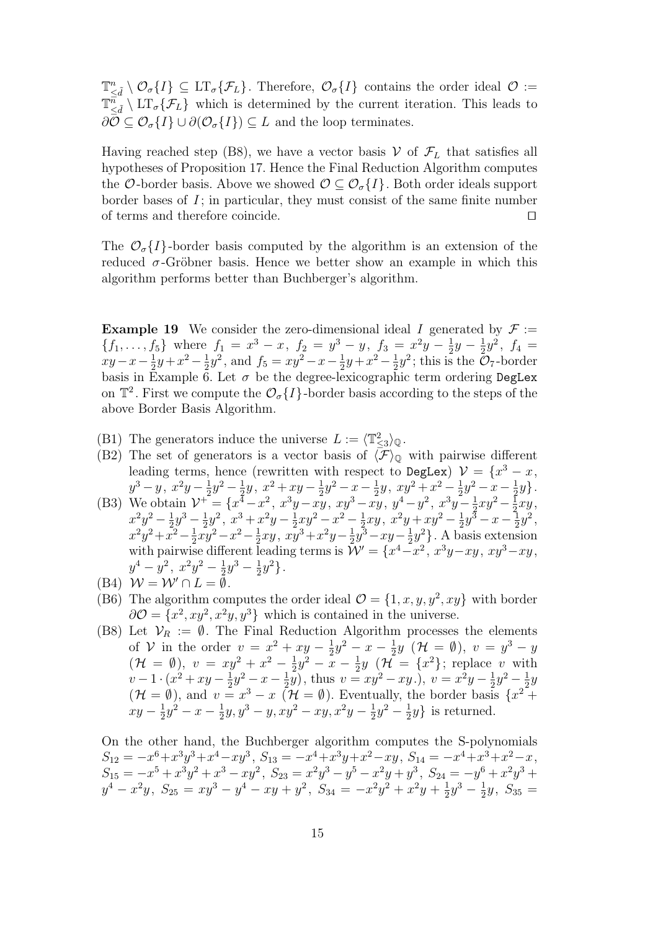$\mathbb{T}^n_{\leq \tilde{d}} \setminus \mathcal{O}_{\sigma}\lbrace I \rbrace \subseteq \mathrm{LT}_{\sigma}\lbrace \mathcal{F}_L \rbrace$ . Therefore,  $\mathcal{O}_{\sigma}\lbrace I \rbrace$  contains the order ideal  $\mathcal{O} :=$  $\mathbb{T}_{\leq \tilde{d}}^{\tilde{n}} \setminus \mathrm{LT}_{\sigma} \{ \mathcal{F}_L \}$  which is determined by the current iteration. This leads to  $\partial \mathcal{O} \subseteq \mathcal{O}_{\sigma}{I} \cup \partial(\mathcal{O}_{\sigma}{I}) \subseteq L$  and the loop terminates.

Having reached step (B8), we have a vector basis  $V$  of  $\mathcal{F}_L$  that satisfies all hypotheses of Proposition 17. Hence the Final Reduction Algorithm computes the O-border basis. Above we showed  $\mathcal{O} \subseteq \mathcal{O}_{\sigma}{I}$ . Both order ideals support border bases of  $I$ ; in particular, they must consist of the same finite number of terms and therefore coincide.  $\Box$ 

The  $\mathcal{O}_{\sigma}{I}$ -border basis computed by the algorithm is an extension of the reduced  $\sigma$ -Gröbner basis. Hence we better show an example in which this algorithm performs better than Buchberger's algorithm.

**Example 19** We consider the zero-dimensional ideal I generated by  $\mathcal{F}$  :=  ${f_1, \ldots, f_5}$  where  $f_1 = x^3 - x$ ,  $f_2 = y^3 - y$ ,  $f_3 = x^2y - \frac{1}{2}$  $rac{1}{2}y - \frac{1}{2}$  $\frac{1}{2}y^2$ ,  $f_4$  =  $xy-x-\frac{1}{2}$  $\frac{1}{2}y + x^2 - \frac{1}{2}$  $\frac{1}{2}y^2$ , and  $f_5 = xy^2 - x - \frac{1}{2}$  $\frac{1}{2}y + x^2 - \frac{1}{2}$  $\frac{1}{2}y^2$ ; this is the  $\mathcal{O}_7$ -border basis in Example 6. Let  $\sigma$  be the degree-lexicographic term ordering DegLex on  $\mathbb{T}^2$ . First we compute the  $\mathcal{O}_{\sigma}\lbrace I \rbrace$ -border basis according to the steps of the above Border Basis Algorithm.

- (B1) The generators induce the universe  $L := \langle T_{\leq 3}^2 \rangle_{\mathbb{Q}}$ .
- (B2) The set of generators is a vector basis of  $\langle \mathcal{F} \rangle_{\mathbb{Q}}$  with pairwise different leading terms, hence (rewritten with respect to DegLex)  $\mathcal{V} = \{x^3 - x,$  $y^3 - y$ ,  $x^2y - \frac{1}{2}$  $rac{1}{2}y^2 - \frac{1}{2}$  $rac{1}{2}y, x^2 + xy - \frac{1}{2}$  $rac{1}{2}y^2 - x - \frac{1}{2}$  $rac{1}{2}y$ ,  $xy^2 + x^2 - \frac{1}{2}$  $\frac{1}{2}y^2 - x - \frac{1}{2}$  $rac{1}{2}y$ .
- (B3) We obtain  $\mathcal{V}^+ = \{x^4 x^2, x^3y xy, xy^3 xy, y^4 y^2, x^3y \frac{1}{2}\}$  $rac{1}{2}xy^2 - \frac{1}{2}$  $rac{1}{2}xy,$  $x^2y^2 - \frac{1}{2}$  $\frac{1}{2}y^3 - \frac{1}{2}$  $\frac{1}{2}y^2$ ,  $x^3 + x^2y - \frac{1}{2}$  $rac{1}{2}xy^2 - x^2 - \frac{1}{2}$  $rac{1}{2}xy, x^2y+xy^2-\frac{1}{2}$  $\frac{1}{2}y^{\bar{3}} - x - \frac{1}{2}$  $\frac{1}{2}y^2,$  $x^2y^2 + \bar{x}^2 - \frac{1}{2}$  $\frac{1}{2}xy^2 - x^2 - \frac{1}{2}$  $\frac{1}{2}xy, x\overline{y}^3 + x^2y - \frac{1}{2}$  $\frac{1}{2}y^3 - xy - \frac{1}{2}$  $\frac{1}{2}y^2$ . A basis extension with pairwise different leading terms is  $\mathcal{W}' = \{x^4 - x^2, x^3y - xy, xy^3 - xy,$  $y^4 - y^2$ ,  $x^2y^2 - \frac{1}{2}$  $\frac{1}{2}y^3 - \frac{1}{2}$  $\frac{1}{2}y^2$ .
- (B4)  $W = W' \cap L = \emptyset$ .
- (B6) The algorithm computes the order ideal  $\mathcal{O} = \{1, x, y, y^2, xy\}$  with border  $\partial \mathcal{O} = \{x^2, xy^2, x^2y, y^3\}$  which is contained in the universe.
- (B8) Let  $\mathcal{V}_R := \emptyset$ . The Final Reduction Algorithm processes the elements of V in the order  $v = x^2 + xy - \frac{1}{2}$  $\frac{1}{2}y^2 - x - \frac{1}{2}$  $\frac{1}{2}y \,$   $(\mathcal{H} = \emptyset), v = y^3 - y$  $(\mathcal{H} = \emptyset), v = xy^2 + x^2 - \frac{1}{2}$  $\frac{1}{2}y^2 - x - \frac{1}{2}$  $\frac{1}{2}y \left( \mathcal{H} = \{x^2\}; \text{ replace } v \text{ with }\right.$  $v-1\cdot(x^2+xy-\frac{1}{2})$  $rac{1}{2}y^2 - x - \frac{1}{2}$  $(\frac{1}{2}y)$ , thus  $v = xy^2 - xy$ .),  $v = x^2y - \frac{1}{2}$  $rac{1}{2}y^2 - \frac{1}{2}$  $rac{1}{2}y$  $(\mathcal{H} = \emptyset)$ , and  $v = x^3 - x \ (\mathcal{H} = \emptyset)$ . Eventually, the border basis  $\{x^2 +$  $xy-\frac{1}{2}$  $\frac{1}{2}y^2 - x - \frac{1}{2}$  $\frac{1}{2}y, y^3 - y, xy^2 - xy, x^2y - \frac{1}{2}$  $\frac{1}{2}y^2 - \frac{1}{2}$  $\frac{1}{2}y$  is returned.

On the other hand, the Buchberger algorithm computes the S-polynomials  $S_{12} = -x^6 + x^3y^3 + x^4 - xy^3$ ,  $S_{13} = -x^4 + x^3y + x^2 - xy$ ,  $S_{14} = -x^4 + x^3 + x^2 - x$ ,  $S_{15} = -x^5 + x^3y^2 + x^3 - xy^2$ ,  $S_{23} = x^2y^3 - y^5 - x^2y + y^3$ ,  $S_{24} = -y^6 + x^2y^3 +$  $y^4 - x^2y$ ,  $S_{25} = xy^3 - y^4 - xy + y^2$ ,  $S_{34} = -x^2y^2 + x^2y + \frac{1}{2}$  $\frac{1}{2}y^3 - \frac{1}{2}$  $\frac{1}{2}y, S_{35} =$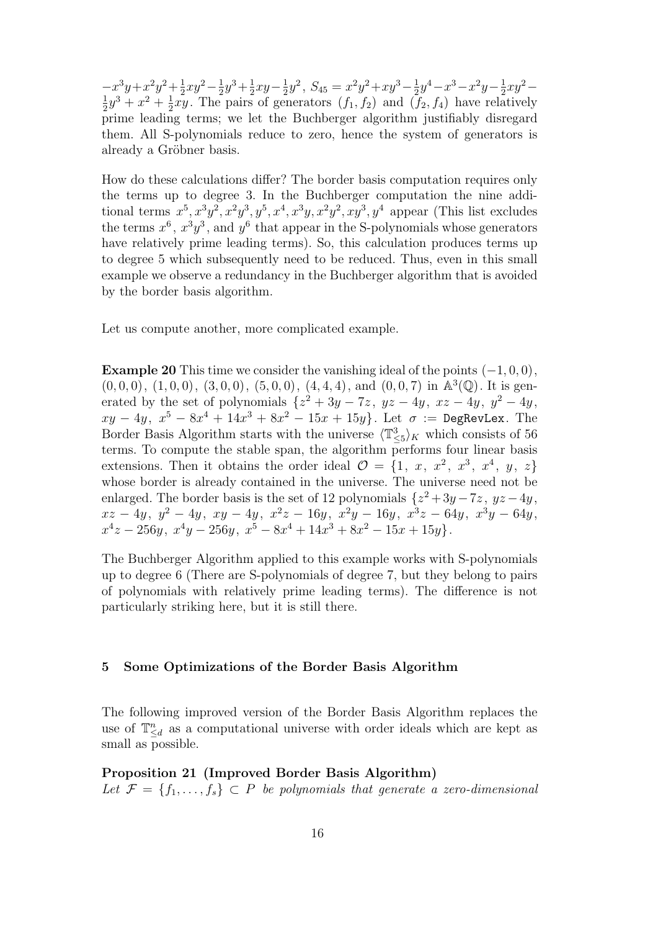$-x^3y+x^2y^2+\frac{1}{2}$  $rac{1}{2}xy^2 - \frac{1}{2}$  $\frac{1}{2}y^3 + \frac{1}{2}$  $rac{1}{2}xy-\frac{1}{2}$  $\frac{1}{2}y^2$ ,  $S_{45} = x^2y^2 + xy^3 - \frac{1}{2}$  $rac{1}{2}y^4 - x^3 - x^2y - \frac{1}{2}$  $rac{1}{2}xy^2 -$ 1  $\frac{1}{2}y^3 + x^2 + \frac{1}{2}$  $\frac{1}{2}xy$ . The pairs of generators  $(f_1, f_2)$  and  $(f_2, f_4)$  have relatively prime leading terms; we let the Buchberger algorithm justifiably disregard them. All S-polynomials reduce to zero, hence the system of generators is already a Gröbner basis.

How do these calculations differ? The border basis computation requires only the terms up to degree 3. In the Buchberger computation the nine additional terms  $x^5, x^3y^2, x^2y^3, y^5, x^4, x^3y, x^2y^2, xy^3, y^4$  appear (This list excludes the terms  $x^6$ ,  $x^3y^3$ , and  $y^6$  that appear in the S-polynomials whose generators have relatively prime leading terms). So, this calculation produces terms up to degree 5 which subsequently need to be reduced. Thus, even in this small example we observe a redundancy in the Buchberger algorithm that is avoided by the border basis algorithm.

Let us compute another, more complicated example.

**Example 20** This time we consider the vanishing ideal of the points  $(-1, 0, 0)$ ,  $(0,0,0), (1,0,0), (3,0,0), (5,0,0), (4,4,4), \text{ and } (0,0,7) \text{ in } \mathbb{A}^3(\mathbb{Q})$ . It is generated by the set of polynomials  $\{z^2 + 3y - 7z, yz - 4y, xz - 4y, y^2 - 4y, y^3 - 4z, y^4 - 4z, y^3 - 4z, y^2 - 4z, y^3 - 4z, y^2 - 4z, y^3 - 4z, y^2 - 4z, y^3 - 4z, y^2 - 4z, y^3 - 4z, z^2 - 4z, z^3 - 4z, z^2 - 4z, z^3 - 4z, z^2 - 4z, z^3 - 4z, z^2 - 4z, z^3 - 4z$  $xy - 4y$ ,  $x^5 - 8x^4 + 14x^3 + 8x^2 - 15x + 15y$ . Let  $\sigma := \text{DegRevLex. The}$ Border Basis Algorithm starts with the universe  $\langle \mathbb{T}_{\leq 5}^3 \rangle_K$  which consists of 56 terms. To compute the stable span, the algorithm performs four linear basis extensions. Then it obtains the order ideal  $\mathcal{O} = \{1, x, x^2, x^3, x^4, y, z\}$ whose border is already contained in the universe. The universe need not be enlarged. The border basis is the set of 12 polynomials  $\{z^2 + 3y - 7z, yz - 4y, z\}$  $xz - 4y, y^2 - 4y, xy - 4y, x^2z - 16y, x^2y - 16y, x^3z - 64y, x^3y - 64y,$  $x^4z - 256y, x^4y - 256y, x^5 - 8x^4 + 14x^3 + 8x^2 - 15x + 15y$ .

The Buchberger Algorithm applied to this example works with S-polynomials up to degree 6 (There are S-polynomials of degree 7, but they belong to pairs of polynomials with relatively prime leading terms). The difference is not particularly striking here, but it is still there.

### 5 Some Optimizations of the Border Basis Algorithm

The following improved version of the Border Basis Algorithm replaces the use of  $\mathbb{T}_{\leq d}^n$  as a computational universe with order ideals which are kept as small as possible.

Proposition 21 (Improved Border Basis Algorithm)

Let  $\mathcal{F} = \{f_1, \ldots, f_s\} \subset P$  be polynomials that generate a zero-dimensional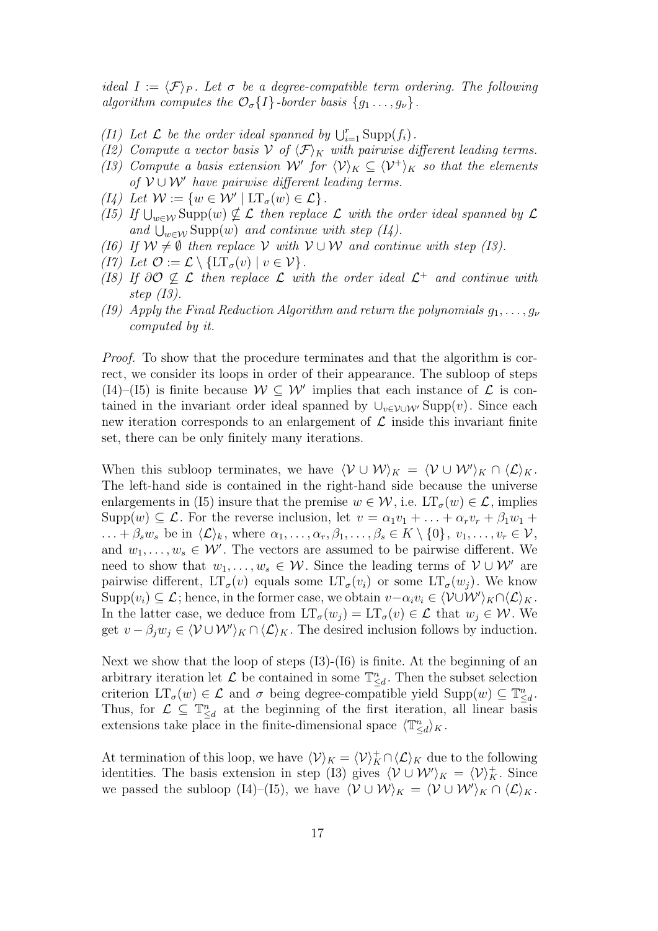ideal  $I := \langle \mathcal{F} \rangle_P$ . Let  $\sigma$  be a degree-compatible term ordering. The following algorithm computes the  $\mathcal{O}_{\sigma}\lbrace I \rbrace$ -border basis  $\lbrace g_1 \ldots, g_{\nu} \rbrace$ .

- (I1) Let  $\mathcal L$  be the order ideal spanned by  $\bigcup_{i=1}^r \text{Supp}(f_i)$ .
- (I2) Compute a vector basis V of  $\langle \mathcal{F} \rangle_K$  with pairwise different leading terms.
- (I3) Compute a basis extension W' for  $\langle V \rangle_K \subseteq \langle V^+ \rangle_K$  so that the elements of  $V \cup W'$  have pairwise different leading terms.
- (I4) Let  $\mathcal{W} := \{ w \in \mathcal{W}' \mid \mathop{\rm LT}\nolimits_{\sigma}(w) \in \mathcal{L} \}.$
- (I5) If  $\bigcup_{w\in\mathcal{W}}\text{Supp}(w)\nsubseteq\mathcal{L}$  then replace  $\mathcal L$  with the order ideal spanned by  $\mathcal L$ and  $\bigcup_{w \in \mathcal{W}} \text{Supp}(w)$  and continue with step (I4).
- (I6) If  $W \neq \emptyset$  then replace V with  $V \cup W$  and continue with step (I3).
- (I7) Let  $\mathcal{O} := \mathcal{L} \setminus \{LT_{\sigma}(v) \mid v \in \mathcal{V}\}.$
- (I8) If  $\partial \mathcal{O} \nsubseteq \mathcal{L}$  then replace  $\mathcal{L}$  with the order ideal  $\mathcal{L}^+$  and continue with step (I3).
- (19) Apply the Final Reduction Algorithm and return the polynomials  $q_1, \ldots, q_\nu$ computed by it.

Proof. To show that the procedure terminates and that the algorithm is correct, we consider its loops in order of their appearance. The subloop of steps (I4)–(I5) is finite because  $W \subseteq W'$  implies that each instance of  $\mathcal L$  is contained in the invariant order ideal spanned by  $\cup_{v \in \mathcal{V} \cup \mathcal{W}'}$  Supp $(v)$ . Since each new iteration corresponds to an enlargement of  $\mathcal L$  inside this invariant finite set, there can be only finitely many iterations.

When this subloop terminates, we have  $\langle V \cup W \rangle_K = \langle V \cup W' \rangle_K \cap \langle L \rangle_K$ . The left-hand side is contained in the right-hand side because the universe enlargements in (I5) insure that the premise  $w \in \mathcal{W}$ , i.e.  $LT_{\sigma}(w) \in \mathcal{L}$ , implies  $\text{Supp}(w) \subseteq \mathcal{L}$ . For the reverse inclusion, let  $v = \alpha_1 v_1 + \ldots + \alpha_r v_r + \beta_1 w_1 + \cdots$  $\ldots + \beta_s w_s$  be in  $\langle \mathcal{L} \rangle_k$ , where  $\alpha_1, \ldots, \alpha_r, \beta_1, \ldots, \beta_s \in K \setminus \{0\}, v_1, \ldots, v_r \in \mathcal{V}$ , and  $w_1, \ldots, w_s \in \mathcal{W}'$ . The vectors are assumed to be pairwise different. We need to show that  $w_1, \ldots, w_s \in \mathcal{W}$ . Since the leading terms of  $\mathcal{V} \cup \mathcal{W}'$  are pairwise different,  $LT_{\sigma}(v)$  equals some  $LT_{\sigma}(v_i)$  or some  $LT_{\sigma}(w_i)$ . We know  $\text{Supp}(v_i) \subseteq \mathcal{L}$ ; hence, in the former case, we obtain  $v - \alpha_i v_i \in \langle \mathcal{V} \cup \mathcal{W}' \rangle_K \cap \langle \mathcal{L} \rangle_K$ . In the latter case, we deduce from  $LT_{\sigma}(w_j) = LT_{\sigma}(v) \in \mathcal{L}$  that  $w_j \in \mathcal{W}$ . We get  $v - \beta_j w_j \in \langle \mathcal{V} \cup \mathcal{W}' \rangle_K \cap \langle \mathcal{L} \rangle_K$ . The desired inclusion follows by induction.

Next we show that the loop of steps (I3)-(I6) is finite. At the beginning of an arbitrary iteration let  $\mathcal L$  be contained in some  $\mathbb{T}_{\leq d}^n$ . Then the subset selection criterion  $LT_{\sigma}(w) \in \mathcal{L}$  and  $\sigma$  being degree-compatible yield  $\text{Supp}(w) \subseteq \mathbb{T}_{\leq d}^n$ . Thus, for  $\mathcal{L} \subseteq \mathbb{T}_{\leq d}^n$  at the beginning of the first iteration, all linear basis extensions take place in the finite-dimensional space  $\langle \mathbb{T}_{\leq d}^n \rangle_K$ .

At termination of this loop, we have  $\langle V \rangle_K = \langle V \rangle_K^+ \cap \langle L \rangle_K$  due to the following identities. The basis extension in step (I3) gives  $\langle V \cup W' \rangle_K = \langle V \rangle_K^+$ . Since we passed the subloop (I4)–(I5), we have  $\langle V \cup W \rangle_K = \langle V \cup W' \rangle_K \cap \langle L \rangle_K$ .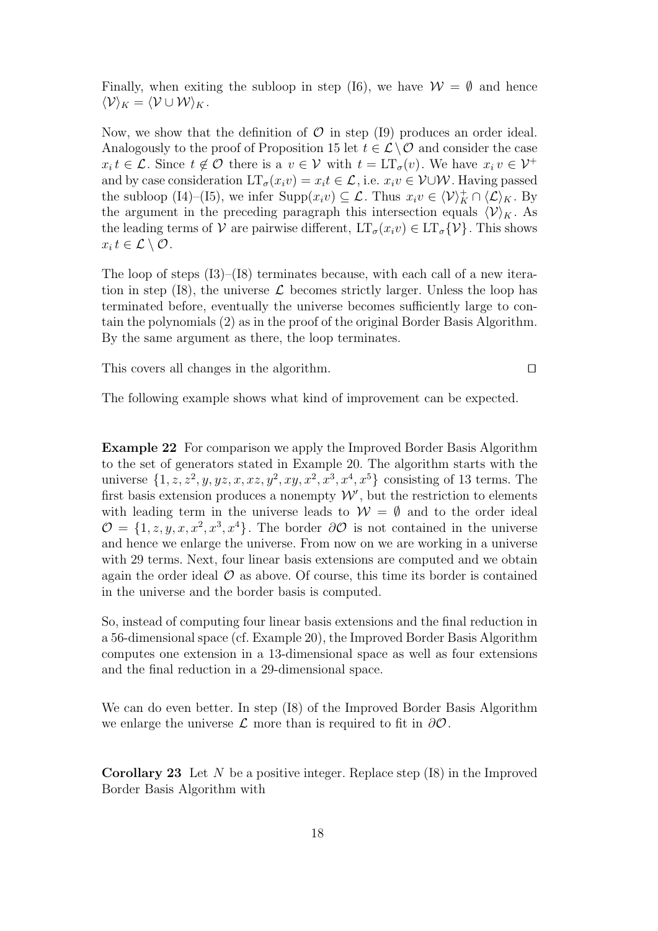Finally, when exiting the subloop in step (I6), we have  $\mathcal{W} = \emptyset$  and hence  $\langle \mathcal{V} \rangle_K = \langle \mathcal{V} \cup \mathcal{W} \rangle_K$ .

Now, we show that the definition of  $\mathcal O$  in step (I9) produces an order ideal. Analogously to the proof of Proposition 15 let  $t \in \mathcal{L} \setminus \mathcal{O}$  and consider the case  $x_i t \in \mathcal{L}$ . Since  $t \notin \mathcal{O}$  there is a  $v \in \mathcal{V}$  with  $t = LT_{\sigma}(v)$ . We have  $x_i v \in \mathcal{V}^+$ and by case consideration  $LT_{\sigma}(x_i v) = x_i t \in \mathcal{L}$ , i.e.  $x_i v \in V \cup W$ . Having passed the subloop (I4)–(I5), we infer  $\text{Supp}(x_i v) \subseteq \mathcal{L}$ . Thus  $x_i v \in \langle \mathcal{V} \rangle_K^+ \cap \langle \mathcal{L} \rangle_K$ . By the argument in the preceding paragraph this intersection equals  $\langle V \rangle_K$ . As the leading terms of V are pairwise different,  $LT_{\sigma}(x_i v) \in LT_{\sigma} \{V\}$ . This shows  $x_i t \in \mathcal{L} \setminus \mathcal{O}$ .

The loop of steps (I3)–(I8) terminates because, with each call of a new iteration in step (I8), the universe  $\mathcal L$  becomes strictly larger. Unless the loop has terminated before, eventually the universe becomes sufficiently large to contain the polynomials (2) as in the proof of the original Border Basis Algorithm. By the same argument as there, the loop terminates.

This covers all changes in the algorithm.  $\square$ 

The following example shows what kind of improvement can be expected.

Example 22 For comparison we apply the Improved Border Basis Algorithm to the set of generators stated in Example 20. The algorithm starts with the universe  $\{1, z, z^2, y, yz, x, xz, y^2, xy, x^2, x^3, x^4, x^5\}$  consisting of 13 terms. The first basis extension produces a nonempty  $\mathcal{W}'$ , but the restriction to elements with leading term in the universe leads to  $W = \emptyset$  and to the order ideal  $\mathcal{O} = \{1, z, y, x, x^2, x^3, x^4\}.$  The border  $\partial \mathcal{O}$  is not contained in the universe and hence we enlarge the universe. From now on we are working in a universe with 29 terms. Next, four linear basis extensions are computed and we obtain again the order ideal  $\mathcal O$  as above. Of course, this time its border is contained in the universe and the border basis is computed.

So, instead of computing four linear basis extensions and the final reduction in a 56-dimensional space (cf. Example 20), the Improved Border Basis Algorithm computes one extension in a 13-dimensional space as well as four extensions and the final reduction in a 29-dimensional space.

We can do even better. In step (I8) of the Improved Border Basis Algorithm we enlarge the universe  $\mathcal L$  more than is required to fit in  $\partial \mathcal O$ .

**Corollary 23** Let N be a positive integer. Replace step  $(18)$  in the Improved Border Basis Algorithm with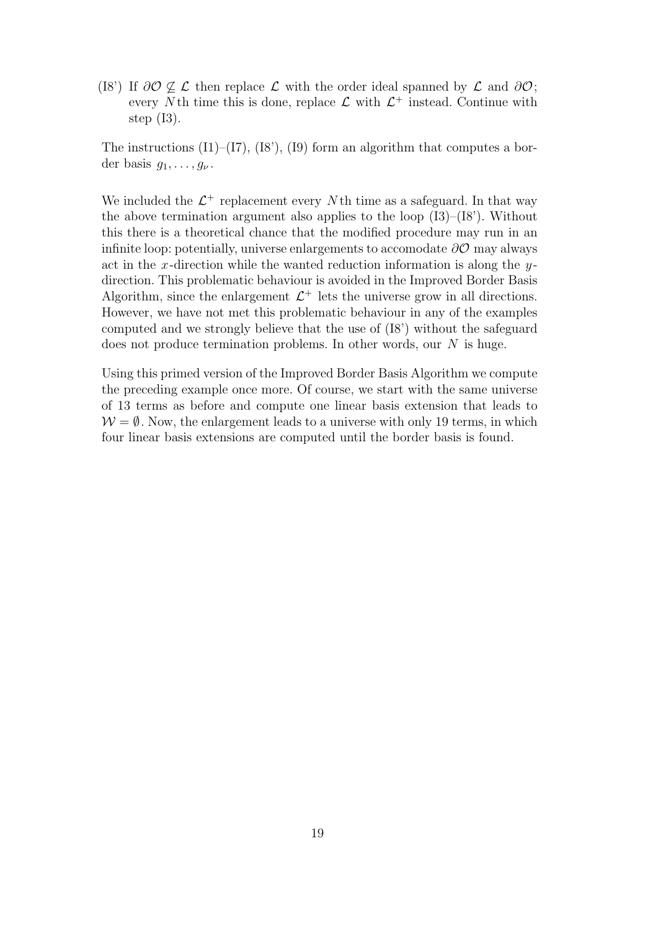(I8') If  $\partial \mathcal{O} \not\subset \mathcal{L}$  then replace  $\mathcal{L}$  with the order ideal spanned by  $\mathcal{L}$  and  $\partial \mathcal{O}$ ; every N<sup>th</sup> time this is done, replace  $\mathcal{L}$  with  $\mathcal{L}^+$  instead. Continue with step  $(13)$ .

The instructions  $(11)$ – $(17)$ ,  $(18)$ ,  $(19)$  form an algorithm that computes a border basis  $q_1, \ldots, q_{\nu}$ .

We included the  $\mathcal{L}^+$  replacement every N th time as a safeguard. In that way the above termination argument also applies to the loop  $(13)$ – $(18')$ . Without this there is a theoretical chance that the modified procedure may run in an infinite loop: potentially, universe enlargements to accomodate  $\partial\mathcal{O}$  may always act in the x-direction while the wanted reduction information is along the  $y$ direction. This problematic behaviour is avoided in the Improved Border Basis Algorithm, since the enlargement  $\mathcal{L}^+$  lets the universe grow in all directions. However, we have not met this problematic behaviour in any of the examples computed and we strongly believe that the use of (I8') without the safeguard does not produce termination problems. In other words, our  $N$  is huge.

Using this primed version of the Improved Border Basis Algorithm we compute the preceding example once more. Of course, we start with the same universe of 13 terms as before and compute one linear basis extension that leads to  $W = \emptyset$ . Now, the enlargement leads to a universe with only 19 terms, in which four linear basis extensions are computed until the border basis is found.